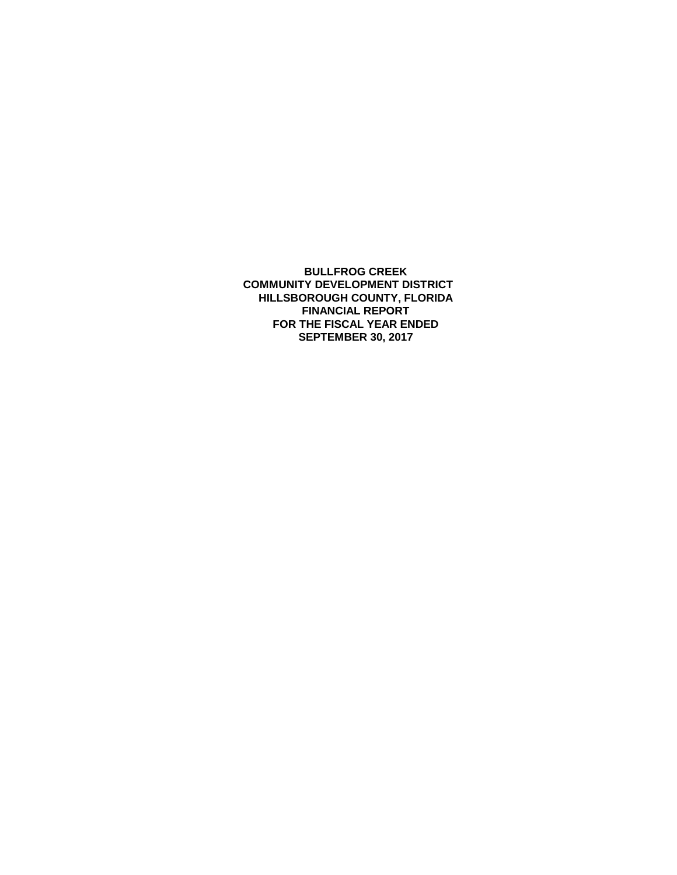**BULLFROG CREEK COMMUNITY DEVELOPMENT DISTRICT HILLSBOROUGH COUNTY, FLORIDA FINANCIAL REPORT FOR THE FISCAL YEAR ENDED SEPTEMBER 30, 2017**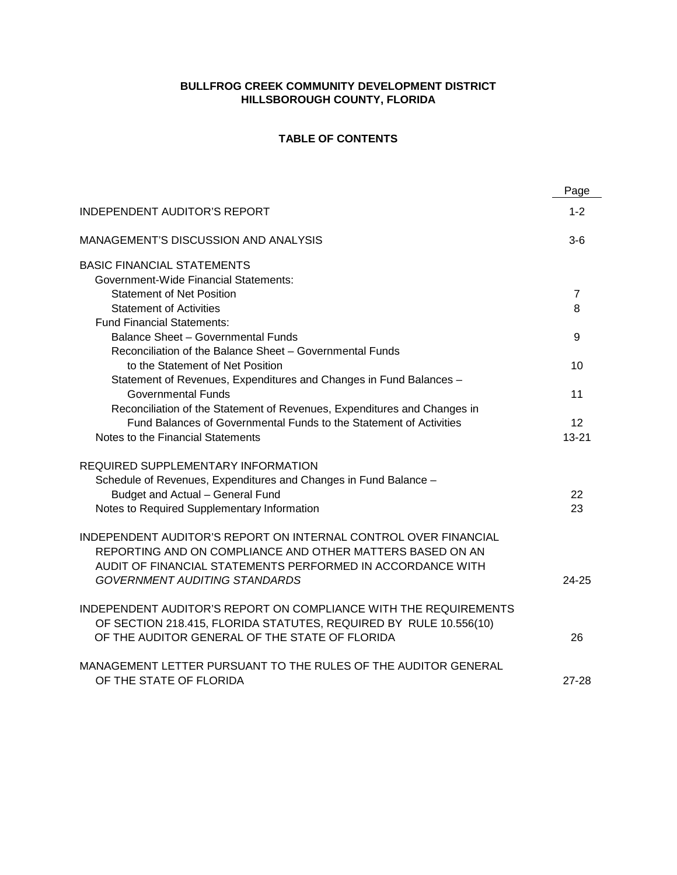# **BULLFROG CREEK COMMUNITY DEVELOPMENT DISTRICT HILLSBOROUGH COUNTY, FLORIDA**

# **TABLE OF CONTENTS**

|                                                                          | Page           |
|--------------------------------------------------------------------------|----------------|
| INDEPENDENT AUDITOR'S REPORT                                             | $1 - 2$        |
| <b>MANAGEMENT'S DISCUSSION AND ANALYSIS</b>                              | $3-6$          |
| <b>BASIC FINANCIAL STATEMENTS</b>                                        |                |
| Government-Wide Financial Statements:                                    |                |
| <b>Statement of Net Position</b>                                         | $\overline{7}$ |
| <b>Statement of Activities</b>                                           | 8              |
| <b>Fund Financial Statements:</b>                                        |                |
| Balance Sheet - Governmental Funds                                       | 9              |
| Reconciliation of the Balance Sheet - Governmental Funds                 |                |
| to the Statement of Net Position                                         | 10             |
| Statement of Revenues, Expenditures and Changes in Fund Balances -       |                |
| <b>Governmental Funds</b>                                                | 11             |
| Reconciliation of the Statement of Revenues, Expenditures and Changes in |                |
| Fund Balances of Governmental Funds to the Statement of Activities       | 12             |
| Notes to the Financial Statements                                        | $13 - 21$      |
| <b>REQUIRED SUPPLEMENTARY INFORMATION</b>                                |                |
| Schedule of Revenues, Expenditures and Changes in Fund Balance -         |                |
| Budget and Actual - General Fund                                         | 22             |
| Notes to Required Supplementary Information                              | 23             |
| INDEPENDENT AUDITOR'S REPORT ON INTERNAL CONTROL OVER FINANCIAL          |                |
| REPORTING AND ON COMPLIANCE AND OTHER MATTERS BASED ON AN                |                |
| AUDIT OF FINANCIAL STATEMENTS PERFORMED IN ACCORDANCE WITH               |                |
| <b>GOVERNMENT AUDITING STANDARDS</b>                                     | 24-25          |
| INDEPENDENT AUDITOR'S REPORT ON COMPLIANCE WITH THE REQUIREMENTS         |                |
| OF SECTION 218.415, FLORIDA STATUTES, REQUIRED BY RULE 10.556(10)        |                |
| OF THE AUDITOR GENERAL OF THE STATE OF FLORIDA                           | 26             |
| MANAGEMENT LETTER PURSUANT TO THE RULES OF THE AUDITOR GENERAL           |                |
| OF THE STATE OF FLORIDA                                                  | 27-28          |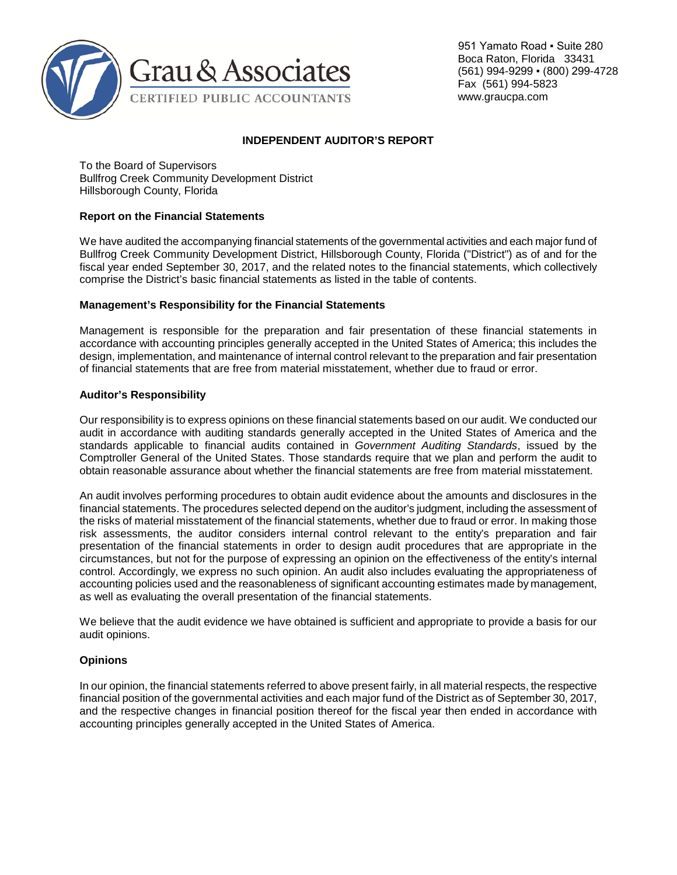

 951 Yamato Road ▪ Suite 280 Boca Raton, Florida 33431 (561) 994-9299 ▪ (800) 299-4728 Fax (561) 994-5823 www.graucpa.com

# **INDEPENDENT AUDITOR'S REPORT**

To the Board of Supervisors Bullfrog Creek Community Development District Hillsborough County, Florida

# **Report on the Financial Statements**

We have audited the accompanying financial statements of the governmental activities and each major fund of Bullfrog Creek Community Development District, Hillsborough County, Florida ("District") as of and for the fiscal year ended September 30, 2017, and the related notes to the financial statements, which collectively comprise the District's basic financial statements as listed in the table of contents.

### **Management's Responsibility for the Financial Statements**

Management is responsible for the preparation and fair presentation of these financial statements in accordance with accounting principles generally accepted in the United States of America; this includes the design, implementation, and maintenance of internal control relevant to the preparation and fair presentation of financial statements that are free from material misstatement, whether due to fraud or error.

### **Auditor's Responsibility**

Our responsibility is to express opinions on these financial statements based on our audit. We conducted our audit in accordance with auditing standards generally accepted in the United States of America and the standards applicable to financial audits contained in *Government Auditing Standards*, issued by the Comptroller General of the United States. Those standards require that we plan and perform the audit to obtain reasonable assurance about whether the financial statements are free from material misstatement.

An audit involves performing procedures to obtain audit evidence about the amounts and disclosures in the financial statements. The procedures selected depend on the auditor's judgment, including the assessment of the risks of material misstatement of the financial statements, whether due to fraud or error. In making those risk assessments, the auditor considers internal control relevant to the entity's preparation and fair presentation of the financial statements in order to design audit procedures that are appropriate in the circumstances, but not for the purpose of expressing an opinion on the effectiveness of the entity's internal control. Accordingly, we express no such opinion. An audit also includes evaluating the appropriateness of accounting policies used and the reasonableness of significant accounting estimates made by management, as well as evaluating the overall presentation of the financial statements.

We believe that the audit evidence we have obtained is sufficient and appropriate to provide a basis for our audit opinions.

### **Opinions**

In our opinion, the financial statements referred to above present fairly, in all material respects, the respective financial position of the governmental activities and each major fund of the District as of September 30, 2017, and the respective changes in financial position thereof for the fiscal year then ended in accordance with accounting principles generally accepted in the United States of America.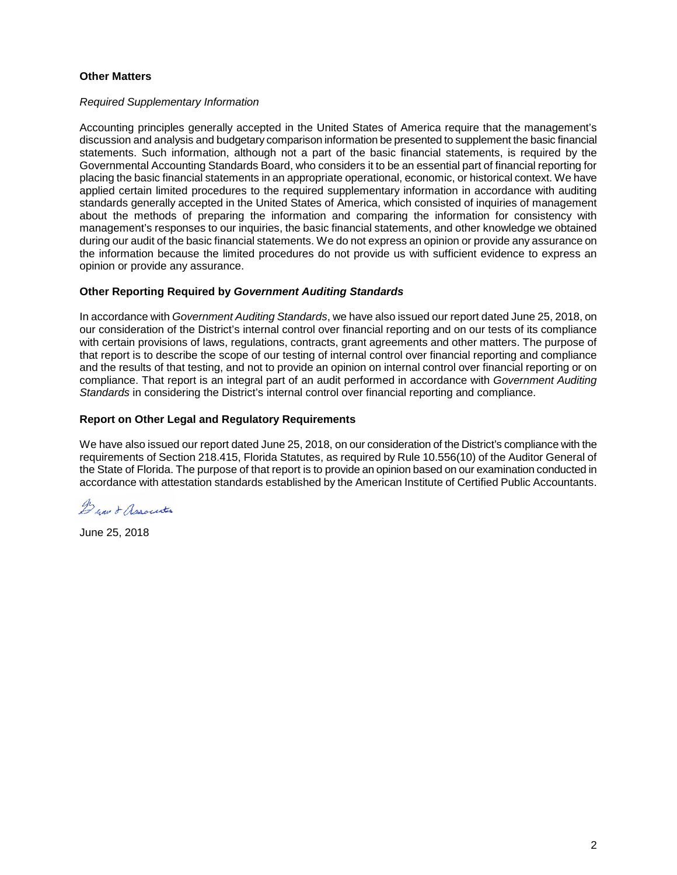# **Other Matters**

### *Required Supplementary Information*

Accounting principles generally accepted in the United States of America require that the management's discussion and analysis and budgetary comparison information be presented to supplement the basic financial statements. Such information, although not a part of the basic financial statements, is required by the Governmental Accounting Standards Board, who considers it to be an essential part of financial reporting for placing the basic financial statements in an appropriate operational, economic, or historical context. We have applied certain limited procedures to the required supplementary information in accordance with auditing standards generally accepted in the United States of America, which consisted of inquiries of management about the methods of preparing the information and comparing the information for consistency with management's responses to our inquiries, the basic financial statements, and other knowledge we obtained during our audit of the basic financial statements. We do not express an opinion or provide any assurance on the information because the limited procedures do not provide us with sufficient evidence to express an opinion or provide any assurance.

### **Other Reporting Required by** *Government Auditing Standards*

In accordance with *Government Auditing Standards*, we have also issued our report dated June 25, 2018, on our consideration of the District's internal control over financial reporting and on our tests of its compliance with certain provisions of laws, regulations, contracts, grant agreements and other matters. The purpose of that report is to describe the scope of our testing of internal control over financial reporting and compliance and the results of that testing, and not to provide an opinion on internal control over financial reporting or on compliance. That report is an integral part of an audit performed in accordance with *Government Auditing Standards* in considering the District's internal control over financial reporting and compliance.

# **Report on Other Legal and Regulatory Requirements**

We have also issued our report dated June 25, 2018, on our consideration of the District's compliance with the requirements of Section 218.415, Florida Statutes, as required by Rule 10.556(10) of the Auditor General of the State of Florida. The purpose of that report is to provide an opinion based on our examination conducted in accordance with attestation standards established by the American Institute of Certified Public Accountants.

De nav & Association

June 25, 2018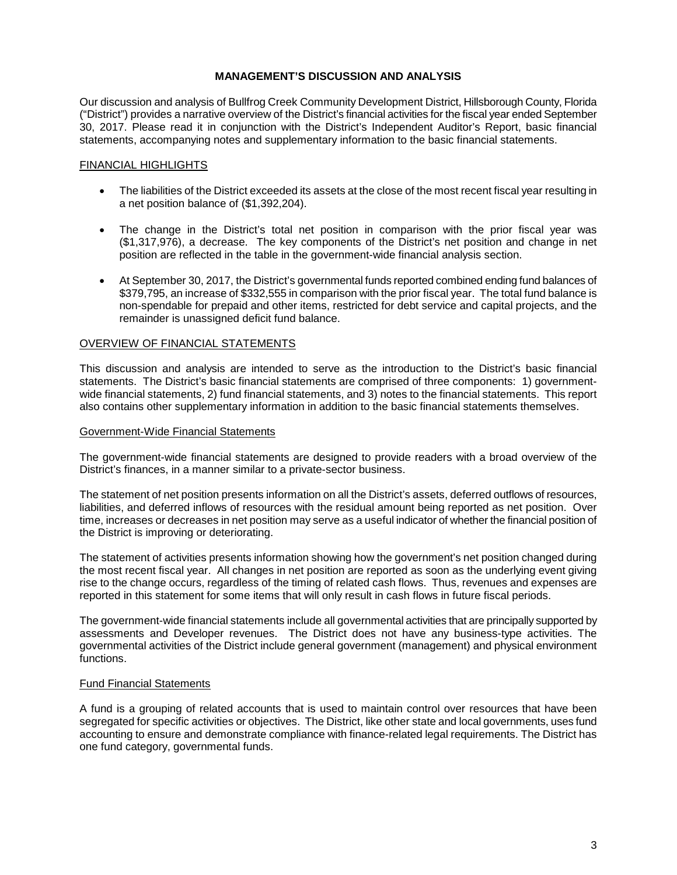# **MANAGEMENT'S DISCUSSION AND ANALYSIS**

Our discussion and analysis of Bullfrog Creek Community Development District, Hillsborough County, Florida ("District") provides a narrative overview of the District's financial activities for the fiscal year ended September 30, 2017. Please read it in conjunction with the District's Independent Auditor's Report, basic financial statements, accompanying notes and supplementary information to the basic financial statements.

## FINANCIAL HIGHLIGHTS

- The liabilities of the District exceeded its assets at the close of the most recent fiscal year resulting in a net position balance of (\$1,392,204).
- The change in the District's total net position in comparison with the prior fiscal year was (\$1,317,976), a decrease. The key components of the District's net position and change in net position are reflected in the table in the government-wide financial analysis section.
- At September 30, 2017, the District's governmental funds reported combined ending fund balances of \$379,795, an increase of \$332,555 in comparison with the prior fiscal year. The total fund balance is non-spendable for prepaid and other items, restricted for debt service and capital projects, and the remainder is unassigned deficit fund balance.

# OVERVIEW OF FINANCIAL STATEMENTS

This discussion and analysis are intended to serve as the introduction to the District's basic financial statements. The District's basic financial statements are comprised of three components: 1) governmentwide financial statements, 2) fund financial statements, and 3) notes to the financial statements. This report also contains other supplementary information in addition to the basic financial statements themselves.

### Government-Wide Financial Statements

The government-wide financial statements are designed to provide readers with a broad overview of the District's finances, in a manner similar to a private-sector business.

The statement of net position presents information on all the District's assets, deferred outflows of resources, liabilities, and deferred inflows of resources with the residual amount being reported as net position. Over time, increases or decreases in net position may serve as a useful indicator of whether the financial position of the District is improving or deteriorating.

The statement of activities presents information showing how the government's net position changed during the most recent fiscal year. All changes in net position are reported as soon as the underlying event giving rise to the change occurs, regardless of the timing of related cash flows. Thus, revenues and expenses are reported in this statement for some items that will only result in cash flows in future fiscal periods.

The government-wide financial statements include all governmental activities that are principally supported by assessments and Developer revenues. The District does not have any business-type activities. The governmental activities of the District include general government (management) and physical environment functions.

### Fund Financial Statements

A fund is a grouping of related accounts that is used to maintain control over resources that have been segregated for specific activities or objectives. The District, like other state and local governments, uses fund accounting to ensure and demonstrate compliance with finance-related legal requirements. The District has one fund category, governmental funds.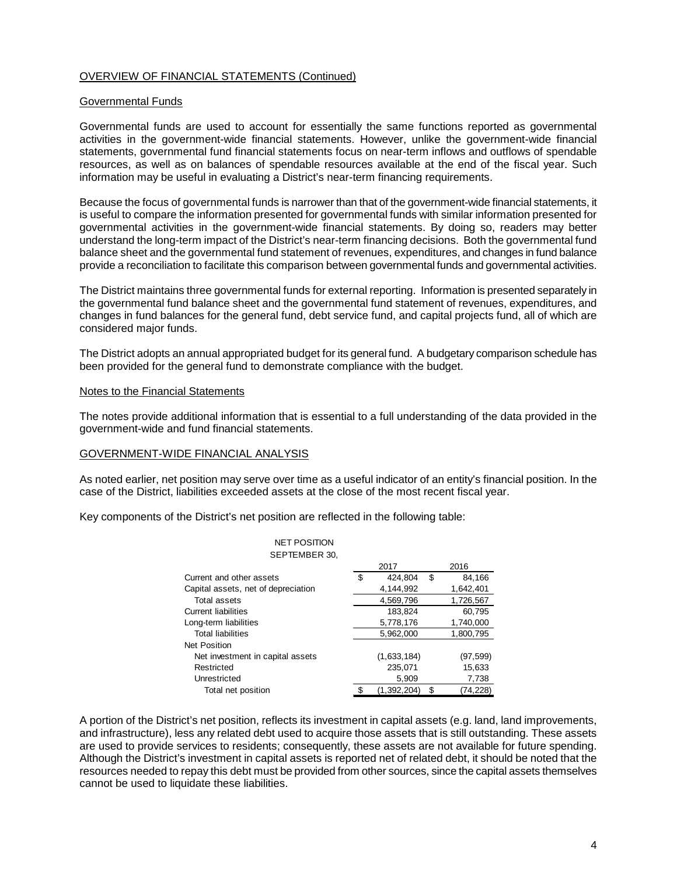## OVERVIEW OF FINANCIAL STATEMENTS (Continued)

### Governmental Funds

Governmental funds are used to account for essentially the same functions reported as governmental activities in the government-wide financial statements. However, unlike the government-wide financial statements, governmental fund financial statements focus on near-term inflows and outflows of spendable resources, as well as on balances of spendable resources available at the end of the fiscal year. Such information may be useful in evaluating a District's near-term financing requirements.

Because the focus of governmental funds is narrower than that of the government-wide financial statements, it is useful to compare the information presented for governmental funds with similar information presented for governmental activities in the government-wide financial statements. By doing so, readers may better understand the long-term impact of the District's near-term financing decisions. Both the governmental fund balance sheet and the governmental fund statement of revenues, expenditures, and changes in fund balance provide a reconciliation to facilitate this comparison between governmental funds and governmental activities.

The District maintains three governmental funds for external reporting. Information is presented separately in the governmental fund balance sheet and the governmental fund statement of revenues, expenditures, and changes in fund balances for the general fund, debt service fund, and capital projects fund, all of which are considered major funds.

The District adopts an annual appropriated budget for its general fund. A budgetary comparison schedule has been provided for the general fund to demonstrate compliance with the budget.

### Notes to the Financial Statements

The notes provide additional information that is essential to a full understanding of the data provided in the government-wide and fund financial statements.

# GOVERNMENT-WIDE FINANCIAL ANALYSIS

As noted earlier, net position may serve over time as a useful indicator of an entity's financial position. In the case of the District, liabilities exceeded assets at the close of the most recent fiscal year.

Key components of the District's net position are reflected in the following table:

#### NET POSITION SEPTEMBER 30,

|                                     | 2017                | 2016            |
|-------------------------------------|---------------------|-----------------|
| Current and other assets            | \$<br>424.804       | \$<br>84,166    |
| Capital assets, net of depreciation | 4,144,992           | 1,642,401       |
| <b>Total assets</b>                 | 4,569,796           | 1,726,567       |
| <b>Current liabilities</b>          | 183,824             | 60,795          |
| Long-term liabilities               | 5,778,176           | 1,740,000       |
| <b>Total liabilities</b>            | 5,962,000           | 1,800,795       |
| <b>Net Position</b>                 |                     |                 |
| Net investment in capital assets    | (1,633,184)         | (97, 599)       |
| Restricted                          | 235,071             | 15,633          |
| Unrestricted                        | 5,909               | 7,738           |
| Total net position                  | \$<br>(1, 392, 204) | \$<br>(74, 228) |

A portion of the District's net position, reflects its investment in capital assets (e.g. land, land improvements, and infrastructure), less any related debt used to acquire those assets that is still outstanding. These assets are used to provide services to residents; consequently, these assets are not available for future spending. Although the District's investment in capital assets is reported net of related debt, it should be noted that the resources needed to repay this debt must be provided from other sources, since the capital assets themselves cannot be used to liquidate these liabilities.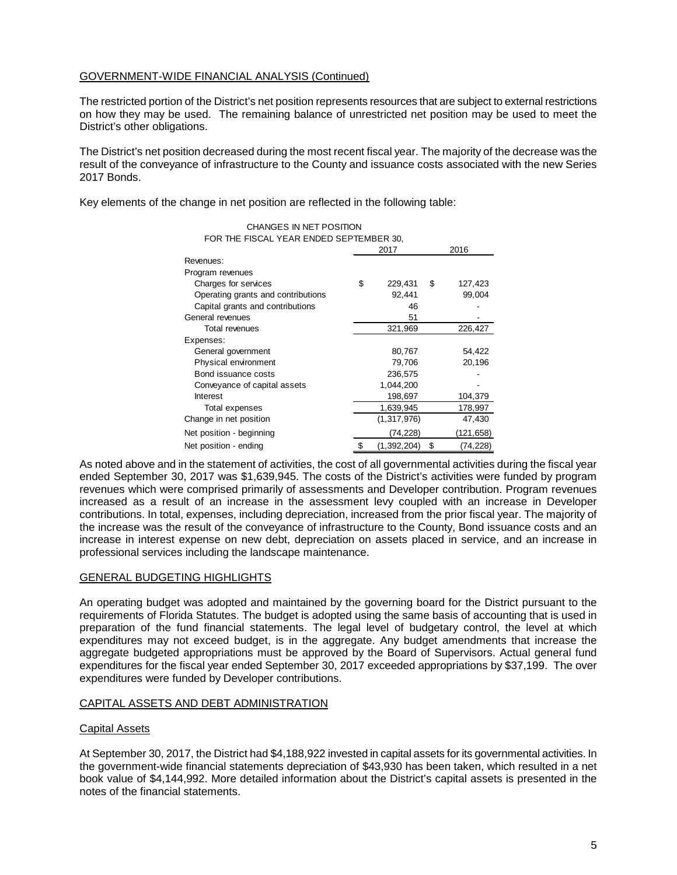## GOVERNMENT-WIDE FINANCIAL ANALYSIS (Continued)

The restricted portion of the District's net position represents resources that are subject to external restrictions on how they may be used. The remaining balance of unrestricted net position may be used to meet the District's other obligations.

The District's net position decreased during the most recent fiscal year. The majority of the decrease was the result of the conveyance of infrastructure to the County and issuance costs associated with the new Series 2017 Bonds.

Key elements of the change in net position are reflected in the following table:

CHANGES IN NET POSITION

| <u>UI IANULU IN NL I I UUITIUN</u>      |    |               |    |           |  |  |  |  |  |  |  |
|-----------------------------------------|----|---------------|----|-----------|--|--|--|--|--|--|--|
| FOR THE FISCAL YEAR ENDED SEPTEMBER 30, |    |               |    |           |  |  |  |  |  |  |  |
|                                         |    | 2017          |    | 2016      |  |  |  |  |  |  |  |
| Revenues:                               |    |               |    |           |  |  |  |  |  |  |  |
| Program revenues                        |    |               |    |           |  |  |  |  |  |  |  |
| Charges for services                    | \$ | 229,431       | \$ | 127,423   |  |  |  |  |  |  |  |
| Operating grants and contributions      |    | 92,441        |    | 99,004    |  |  |  |  |  |  |  |
| Capital grants and contributions        |    | 46            |    |           |  |  |  |  |  |  |  |
| General revenues                        |    | 51            |    |           |  |  |  |  |  |  |  |
| Total revenues                          |    | 321,969       |    | 226,427   |  |  |  |  |  |  |  |
| Expenses:                               |    |               |    |           |  |  |  |  |  |  |  |
| General government                      |    | 80,767        |    | 54,422    |  |  |  |  |  |  |  |
| Physical environment                    |    | 79,706        |    | 20,196    |  |  |  |  |  |  |  |
| Bond issuance costs                     |    | 236,575       |    |           |  |  |  |  |  |  |  |
| Conveyance of capital assets            |    | 1,044,200     |    |           |  |  |  |  |  |  |  |
| Interest                                |    | 198,697       |    | 104,379   |  |  |  |  |  |  |  |
| Total expenses                          |    | 1,639,945     |    | 178,997   |  |  |  |  |  |  |  |
| Change in net position                  |    | (1, 317, 976) |    | 47,430    |  |  |  |  |  |  |  |
| Net position - beginning                |    | (74, 228)     |    | (121,658) |  |  |  |  |  |  |  |
| Net position - ending                   | \$ | (1,392,204)   | \$ | (74, 228) |  |  |  |  |  |  |  |

As noted above and in the statement of activities, the cost of all governmental activities during the fiscal year ended September 30, 2017 was \$1,639,945. The costs of the District's activities were funded by program revenues which were comprised primarily of assessments and Developer contribution. Program revenues increased as a result of an increase in the assessment levy coupled with an increase in Developer contributions. In total, expenses, including depreciation, increased from the prior fiscal year. The majority of the increase was the result of the conveyance of infrastructure to the County, Bond issuance costs and an increase in interest expense on new debt, depreciation on assets placed in service, and an increase in professional services including the landscape maintenance.

### GENERAL BUDGETING HIGHLIGHTS

An operating budget was adopted and maintained by the governing board for the District pursuant to the requirements of Florida Statutes. The budget is adopted using the same basis of accounting that is used in preparation of the fund financial statements. The legal level of budgetary control, the level at which expenditures may not exceed budget, is in the aggregate. Any budget amendments that increase the aggregate budgeted appropriations must be approved by the Board of Supervisors. Actual general fund expenditures for the fiscal year ended September 30, 2017 exceeded appropriations by \$37,199. The over expenditures were funded by Developer contributions.

# CAPITAL ASSETS AND DEBT ADMINISTRATION

### Capital Assets

At September 30, 2017, the District had \$4,188,922 invested in capital assets for its governmental activities. In the government-wide financial statements depreciation of \$43,930 has been taken, which resulted in a net book value of \$4,144,992. More detailed information about the District's capital assets is presented in the notes of the financial statements.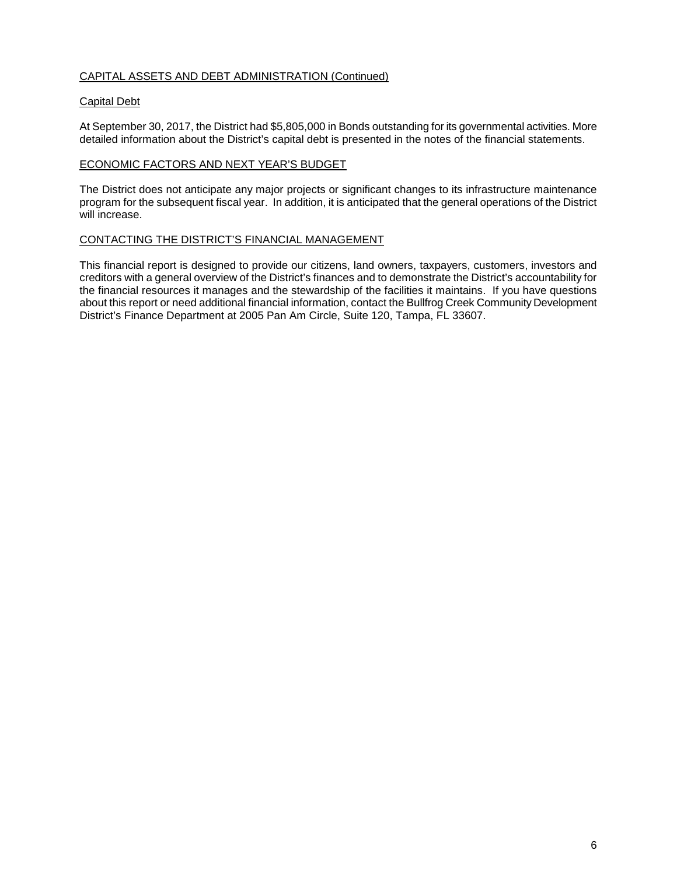# CAPITAL ASSETS AND DEBT ADMINISTRATION (Continued)

### Capital Debt

At September 30, 2017, the District had \$5,805,000 in Bonds outstanding for its governmental activities. More detailed information about the District's capital debt is presented in the notes of the financial statements.

### ECONOMIC FACTORS AND NEXT YEAR'S BUDGET

The District does not anticipate any major projects or significant changes to its infrastructure maintenance program for the subsequent fiscal year. In addition, it is anticipated that the general operations of the District will increase.

### CONTACTING THE DISTRICT'S FINANCIAL MANAGEMENT

This financial report is designed to provide our citizens, land owners, taxpayers, customers, investors and creditors with a general overview of the District's finances and to demonstrate the District's accountability for the financial resources it manages and the stewardship of the facilities it maintains. If you have questions about this report or need additional financial information, contact the Bullfrog Creek Community Development District's Finance Department at 2005 Pan Am Circle, Suite 120, Tampa, FL 33607.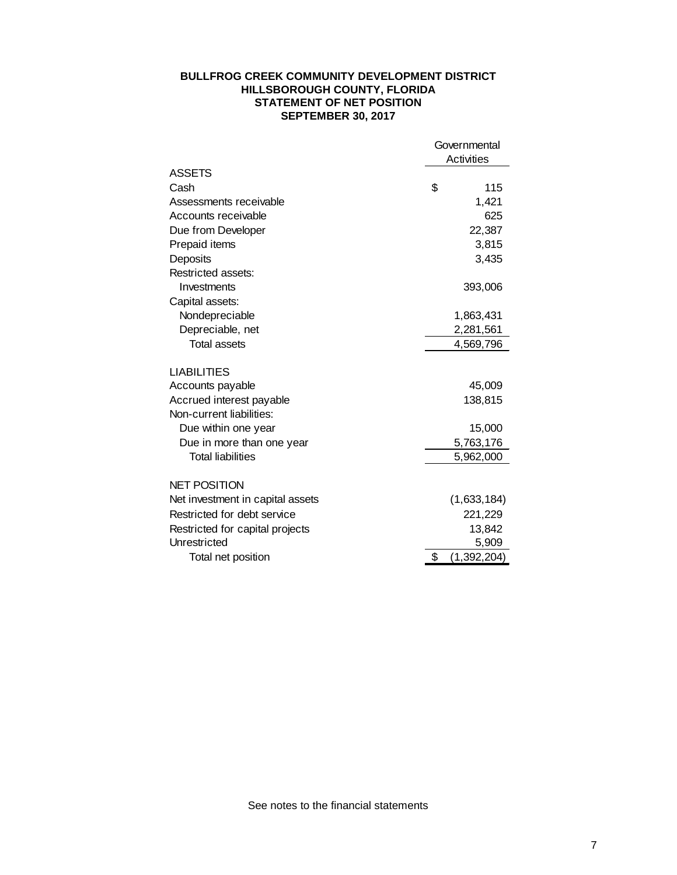# **BULLFROG CREEK COMMUNITY DEVELOPMENT DISTRICT HILLSBOROUGH COUNTY, FLORIDA STATEMENT OF NET POSITION SEPTEMBER 30, 2017**

|                                  | Governmental      |
|----------------------------------|-------------------|
|                                  | Activities        |
| <b>ASSETS</b>                    |                   |
| Cash                             | \$<br>115         |
| Assessments receivable           | 1,421             |
| Accounts receivable              | 625               |
| Due from Developer               | 22,387            |
| Prepaid items                    | 3,815             |
| Deposits                         | 3,435             |
| Restricted assets:               |                   |
| Investments                      | 393,006           |
| Capital assets:                  |                   |
| Nondepreciable                   | 1,863,431         |
| Depreciable, net                 | 2,281,561         |
| <b>Total assets</b>              | 4,569,796         |
|                                  |                   |
| <b>LIABILITIES</b>               |                   |
| Accounts payable                 | 45,009            |
| Accrued interest payable         | 138,815           |
| Non-current liabilities:         |                   |
| Due within one year              | 15,000            |
| Due in more than one year        | 5,763,176         |
| <b>Total liabilities</b>         | 5,962,000         |
| <b>NET POSITION</b>              |                   |
| Net investment in capital assets | (1,633,184)       |
| Restricted for debt service      | 221,229           |
| Restricted for capital projects  | 13,842            |
| Unrestricted                     | 5,909             |
| Total net position               | \$<br>(1,392,204) |
|                                  |                   |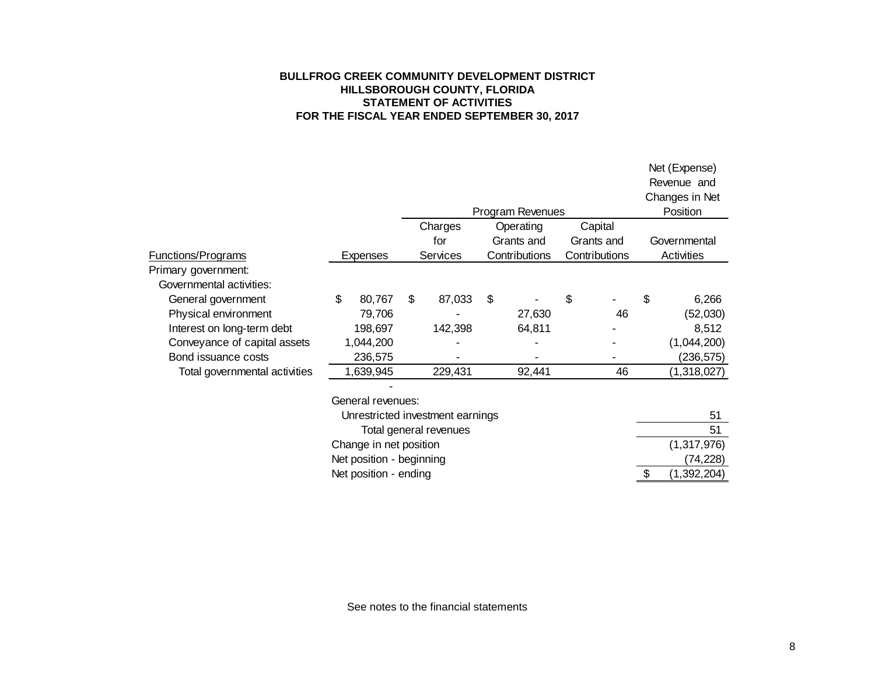# **BULLFROG CREEK COMMUNITY DEVELOPMENT DISTRICT HILLSBOROUGH COUNTY, FLORIDA STATEMENT OF ACTIVITIES FOR THE FISCAL YEAR ENDED SEPTEMBER 30, 2017**

|                               |                          |                                  |                |                  |               | Net (Expense)     |
|-------------------------------|--------------------------|----------------------------------|----------------|------------------|---------------|-------------------|
|                               |                          |                                  |                |                  |               | Revenue and       |
|                               |                          |                                  |                |                  |               | Changes in Net    |
|                               |                          |                                  |                | Program Revenues |               | Position          |
|                               |                          | Charges                          |                | Operating        | Capital       |                   |
|                               |                          | for                              |                | Grants and       | Grants and    | Governmental      |
| <b>Functions/Programs</b>     | <b>Expenses</b>          | Services                         |                | Contributions    | Contributions | Activities        |
| Primary government:           |                          |                                  |                |                  |               |                   |
| Governmental activities:      |                          |                                  |                |                  |               |                   |
| General government            | \$<br>80,767             | \$<br>87,033                     | $\mathfrak{S}$ |                  | \$            | \$<br>6,266       |
| Physical environment          | 79,706                   |                                  |                | 27,630           | 46            | (52,030)          |
| Interest on long-term debt    | 198,697                  | 142,398                          |                | 64,811           |               | 8,512             |
| Conveyance of capital assets  | 1,044,200                |                                  |                |                  |               | (1,044,200)       |
| Bond issuance costs           | 236,575                  |                                  |                |                  |               | (236, 575)        |
| Total governmental activities | 1,639,945                | 229,431                          |                | 92,441           | 46            | (1,318,027)       |
|                               |                          |                                  |                |                  |               |                   |
|                               | General revenues:        |                                  |                |                  |               |                   |
|                               |                          | Unrestricted investment earnings |                |                  |               | 51                |
|                               |                          | Total general revenues           |                |                  |               | 51                |
|                               | Change in net position   |                                  |                |                  |               | (1, 317, 976)     |
|                               | Net position - beginning |                                  |                |                  |               | (74, 228)         |
|                               | Net position - ending    |                                  |                |                  |               | \$<br>(1,392,204) |

See notes to the financial statements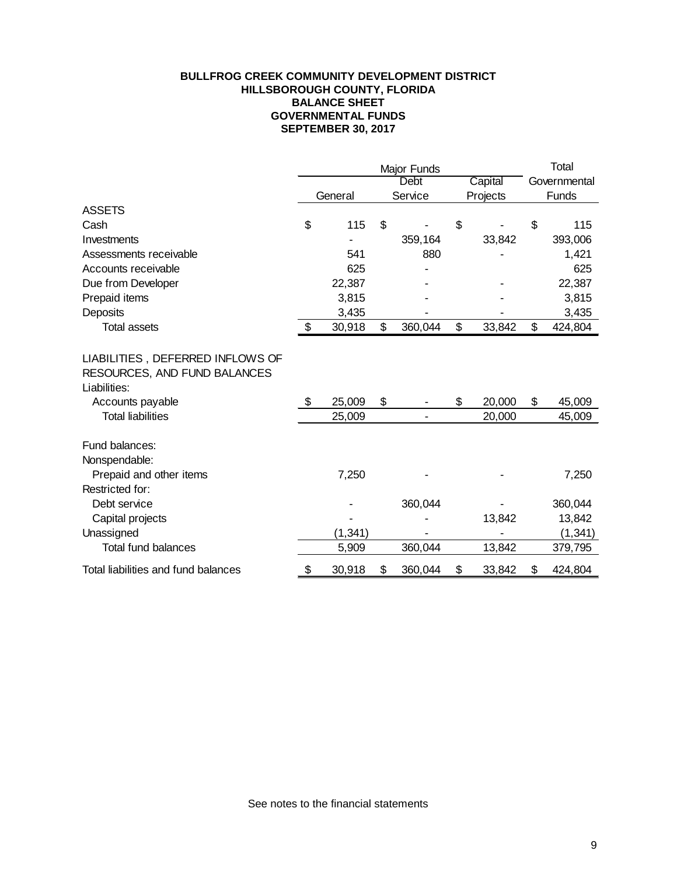## **BULLFROG CREEK COMMUNITY DEVELOPMENT DISTRICT HILLSBOROUGH COUNTY, FLORIDA BALANCE SHEET GOVERNMENTAL FUNDS SEPTEMBER 30, 2017**

|                                                                  |              | Major Funds   |              | Total         |
|------------------------------------------------------------------|--------------|---------------|--------------|---------------|
|                                                                  |              | Debt          | Capital      | Governmental  |
|                                                                  | General      | Service       | Projects     | Funds         |
| <b>ASSETS</b>                                                    |              |               |              |               |
| Cash                                                             | \$<br>115    | \$            | \$           | \$<br>115     |
| Investments                                                      |              | 359,164       | 33,842       | 393,006       |
| Assessments receivable                                           | 541          | 880           |              | 1,421         |
| Accounts receivable                                              | 625          |               |              | 625           |
| Due from Developer                                               | 22,387       |               |              | 22,387        |
| Prepaid items                                                    | 3,815        |               |              | 3,815         |
| Deposits                                                         | 3,435        |               |              | 3,435         |
| <b>Total assets</b>                                              | \$<br>30,918 | \$<br>360,044 | \$<br>33,842 | \$<br>424,804 |
|                                                                  |              |               |              |               |
| LIABILITIES, DEFERRED INFLOWS OF<br>RESOURCES, AND FUND BALANCES |              |               |              |               |
| Liabilities:                                                     |              |               |              |               |
| Accounts payable                                                 | \$<br>25,009 | \$            | \$<br>20,000 | \$<br>45,009  |
| <b>Total liabilities</b>                                         | 25,009       |               | 20,000       | 45,009        |
| Fund balances:<br>Nonspendable:                                  |              |               |              |               |
| Prepaid and other items                                          | 7,250        |               |              | 7,250         |
| Restricted for:<br>Debt service                                  |              | 360,044       |              | 360,044       |
| Capital projects                                                 |              |               | 13,842       | 13,842        |
| Unassigned                                                       | (1, 341)     |               |              | (1, 341)      |
| <b>Total fund balances</b>                                       | 5,909        | 360,044       | 13,842       | 379,795       |
|                                                                  |              |               |              |               |
| Total liabilities and fund balances                              | \$<br>30,918 | \$<br>360,044 | \$<br>33,842 | \$<br>424,804 |

See notes to the financial statements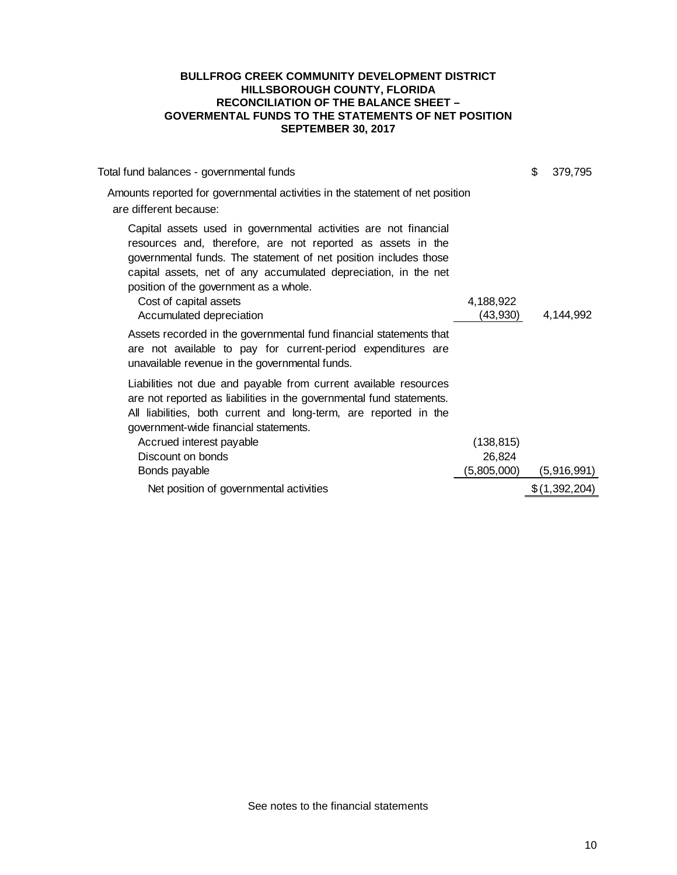# **BULLFROG CREEK COMMUNITY DEVELOPMENT DISTRICT HILLSBOROUGH COUNTY, FLORIDA RECONCILIATION OF THE BALANCE SHEET – GOVERMENTAL FUNDS TO THE STATEMENTS OF NET POSITION SEPTEMBER 30, 2017**

| Total fund balances - governmental funds                                                                                                                                                                                                                                                                         |                       | \$<br>379,795 |
|------------------------------------------------------------------------------------------------------------------------------------------------------------------------------------------------------------------------------------------------------------------------------------------------------------------|-----------------------|---------------|
| Amounts reported for governmental activities in the statement of net position<br>are different because:                                                                                                                                                                                                          |                       |               |
| Capital assets used in governmental activities are not financial<br>resources and, therefore, are not reported as assets in the<br>governmental funds. The statement of net position includes those<br>capital assets, net of any accumulated depreciation, in the net<br>position of the government as a whole. |                       |               |
| Cost of capital assets<br>Accumulated depreciation                                                                                                                                                                                                                                                               | 4,188,922<br>(43,930) | 4,144,992     |
| Assets recorded in the governmental fund financial statements that<br>are not available to pay for current-period expenditures are<br>unavailable revenue in the governmental funds.                                                                                                                             |                       |               |
| Liabilities not due and payable from current available resources<br>are not reported as liabilities in the governmental fund statements.<br>All liabilities, both current and long-term, are reported in the<br>government-wide financial statements.                                                            |                       |               |
| Accrued interest payable<br>Discount on bonds                                                                                                                                                                                                                                                                    | (138, 815)<br>26,824  |               |
| Bonds payable                                                                                                                                                                                                                                                                                                    | (5,805,000)           | (5,916,991)   |
| Net position of governmental activities                                                                                                                                                                                                                                                                          |                       | \$(1,392,204) |
|                                                                                                                                                                                                                                                                                                                  |                       |               |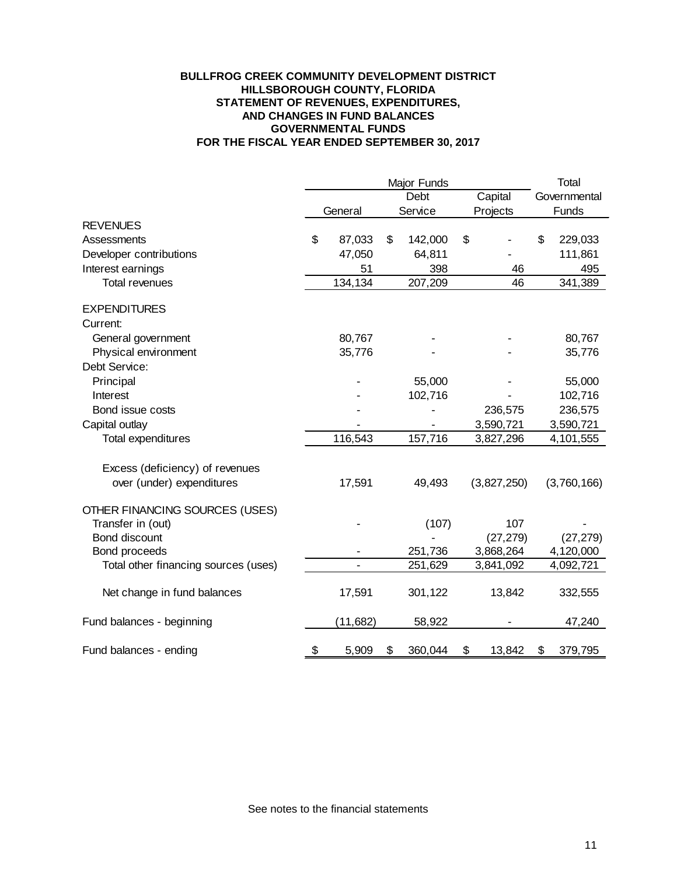### **BULLFROG CREEK COMMUNITY DEVELOPMENT DISTRICT HILLSBOROUGH COUNTY, FLORIDA STATEMENT OF REVENUES, EXPENDITURES, AND CHANGES IN FUND BALANCES GOVERNMENTAL FUNDS FOR THE FISCAL YEAR ENDED SEPTEMBER 30, 2017**

|                                      |              | Major Funds   |              |              | Total       |
|--------------------------------------|--------------|---------------|--------------|--------------|-------------|
|                                      |              | Debt          | Capital      | Governmental |             |
|                                      | General      | Service       | Projects     |              | Funds       |
| <b>REVENUES</b>                      |              |               |              |              |             |
| Assessments                          | \$<br>87,033 | \$<br>142,000 | \$           | \$           | 229,033     |
| Developer contributions              | 47,050       | 64,811        |              |              | 111,861     |
| Interest earnings                    | 51           | 398           | 46           |              | 495         |
| <b>Total revenues</b>                | 134,134      | 207,209       | 46           |              | 341,389     |
| <b>EXPENDITURES</b>                  |              |               |              |              |             |
| Current:                             |              |               |              |              |             |
| General government                   | 80,767       |               |              |              | 80,767      |
| Physical environment                 | 35,776       |               |              |              | 35,776      |
| Debt Service:                        |              |               |              |              |             |
| Principal                            |              | 55,000        |              |              | 55,000      |
| Interest                             |              | 102,716       |              |              | 102,716     |
| Bond issue costs                     |              |               | 236,575      |              | 236,575     |
| Capital outlay                       |              |               | 3,590,721    |              | 3,590,721   |
| Total expenditures                   | 116,543      | 157,716       | 3,827,296    |              | 4,101,555   |
| Excess (deficiency) of revenues      |              |               |              |              |             |
| over (under) expenditures            | 17,591       | 49,493        | (3,827,250)  |              | (3,760,166) |
| OTHER FINANCING SOURCES (USES)       |              |               |              |              |             |
| Transfer in (out)                    |              | (107)         | 107          |              |             |
| Bond discount                        |              |               | (27, 279)    |              | (27, 279)   |
| Bond proceeds                        |              | 251,736       | 3,868,264    |              | 4,120,000   |
| Total other financing sources (uses) |              | 251,629       | 3,841,092    |              | 4,092,721   |
| Net change in fund balances          | 17,591       | 301,122       | 13,842       |              | 332,555     |
| Fund balances - beginning            | (11,682)     | 58,922        |              |              | 47,240      |
| Fund balances - ending               | \$<br>5,909  | \$<br>360,044 | \$<br>13,842 | \$           | 379,795     |

See notes to the financial statements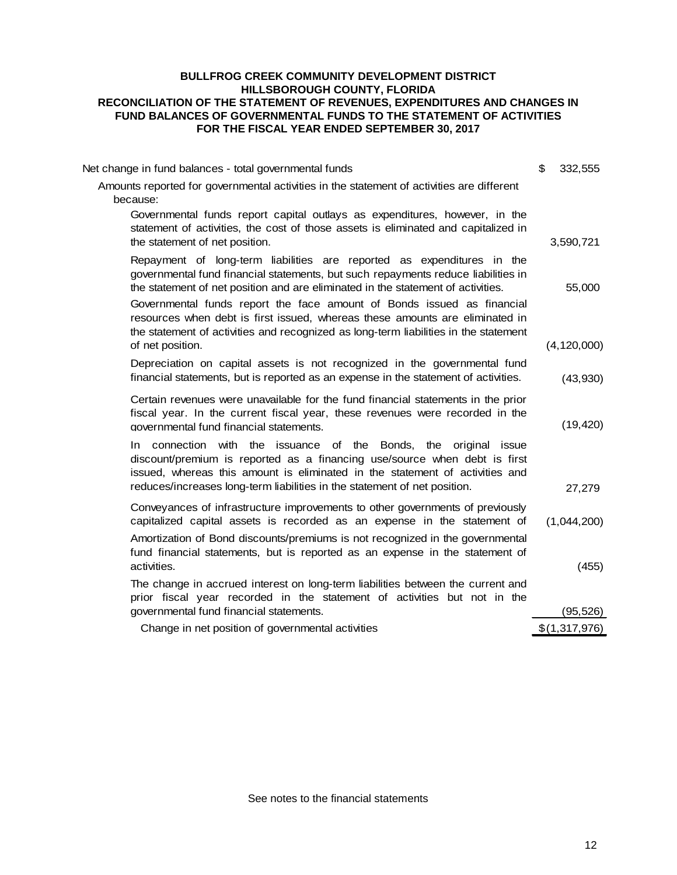# **BULLFROG CREEK COMMUNITY DEVELOPMENT DISTRICT HILLSBOROUGH COUNTY, FLORIDA RECONCILIATION OF THE STATEMENT OF REVENUES, EXPENDITURES AND CHANGES IN FUND BALANCES OF GOVERNMENTAL FUNDS TO THE STATEMENT OF ACTIVITIES FOR THE FISCAL YEAR ENDED SEPTEMBER 30, 2017**

| Net change in fund balances - total governmental funds                                                                                                                                                                                          | \$<br>332,555 |
|-------------------------------------------------------------------------------------------------------------------------------------------------------------------------------------------------------------------------------------------------|---------------|
| Amounts reported for governmental activities in the statement of activities are different<br>because:                                                                                                                                           |               |
| Governmental funds report capital outlays as expenditures, however, in the<br>statement of activities, the cost of those assets is eliminated and capitalized in<br>the statement of net position.                                              | 3,590,721     |
| Repayment of long-term liabilities are reported as expenditures in the<br>governmental fund financial statements, but such repayments reduce liabilities in<br>the statement of net position and are eliminated in the statement of activities. | 55,000        |
| Governmental funds report the face amount of Bonds issued as financial<br>resources when debt is first issued, whereas these amounts are eliminated in<br>the statement of activities and recognized as long-term liabilities in the statement  |               |
| of net position.                                                                                                                                                                                                                                | (4, 120, 000) |
| Depreciation on capital assets is not recognized in the governmental fund<br>financial statements, but is reported as an expense in the statement of activities.                                                                                | (43,930)      |
| Certain revenues were unavailable for the fund financial statements in the prior<br>fiscal year. In the current fiscal year, these revenues were recorded in the<br>governmental fund financial statements.                                     | (19, 420)     |
| In connection with the issuance of the Bonds, the<br>original<br>issue<br>discount/premium is reported as a financing use/source when debt is first<br>issued, whereas this amount is eliminated in the statement of activities and             |               |
| reduces/increases long-term liabilities in the statement of net position.                                                                                                                                                                       | 27,279        |
| Conveyances of infrastructure improvements to other governments of previously<br>capitalized capital assets is recorded as an expense in the statement of                                                                                       | (1,044,200)   |
| Amortization of Bond discounts/premiums is not recognized in the governmental<br>fund financial statements, but is reported as an expense in the statement of<br>activities.                                                                    | (455)         |
| The change in accrued interest on long-term liabilities between the current and<br>prior fiscal year recorded in the statement of activities but not in the                                                                                     |               |
| governmental fund financial statements.                                                                                                                                                                                                         | (95, 526)     |
| Change in net position of governmental activities                                                                                                                                                                                               | \$(1,317,976) |
|                                                                                                                                                                                                                                                 |               |

See notes to the financial statements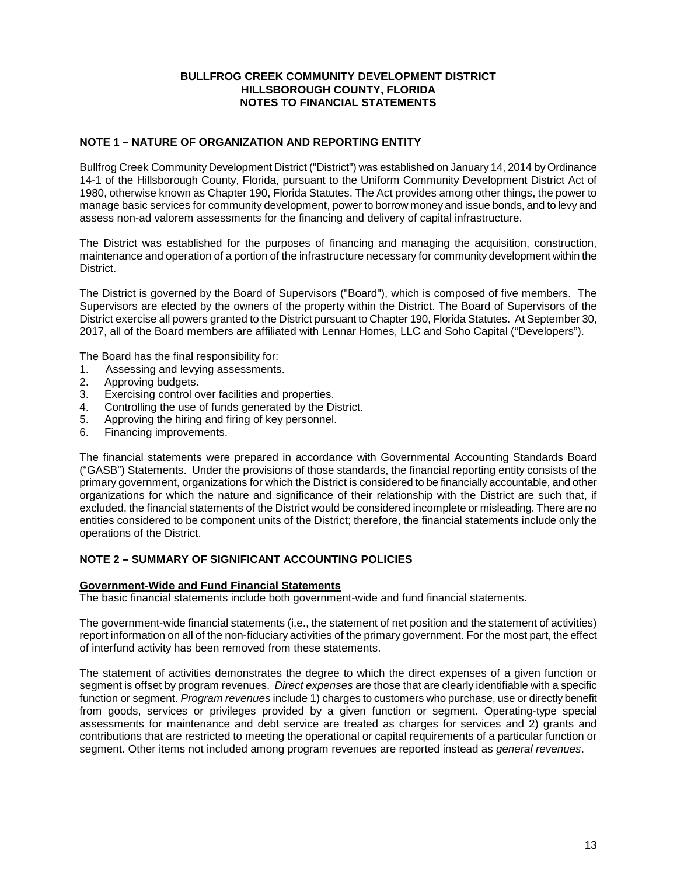# **BULLFROG CREEK COMMUNITY DEVELOPMENT DISTRICT HILLSBOROUGH COUNTY, FLORIDA NOTES TO FINANCIAL STATEMENTS**

# **NOTE 1 – NATURE OF ORGANIZATION AND REPORTING ENTITY**

Bullfrog Creek Community Development District ("District") was established on January 14, 2014 by Ordinance 14-1 of the Hillsborough County, Florida, pursuant to the Uniform Community Development District Act of 1980, otherwise known as Chapter 190, Florida Statutes. The Act provides among other things, the power to manage basic services for community development, power to borrow money and issue bonds, and to levy and assess non-ad valorem assessments for the financing and delivery of capital infrastructure.

The District was established for the purposes of financing and managing the acquisition, construction, maintenance and operation of a portion of the infrastructure necessary for community development within the District.

The District is governed by the Board of Supervisors ("Board"), which is composed of five members. The Supervisors are elected by the owners of the property within the District. The Board of Supervisors of the District exercise all powers granted to the District pursuant to Chapter 190, Florida Statutes. At September 30, 2017, all of the Board members are affiliated with Lennar Homes, LLC and Soho Capital ("Developers").

The Board has the final responsibility for:

- 1. Assessing and levying assessments.<br>2. Approving budgets.
- 2. Approving budgets.
- 3. Exercising control over facilities and properties.
- 4. Controlling the use of funds generated by the District.
- 5. Approving the hiring and firing of key personnel.
- 6. Financing improvements.

The financial statements were prepared in accordance with Governmental Accounting Standards Board ("GASB") Statements. Under the provisions of those standards, the financial reporting entity consists of the primary government, organizations for which the District is considered to be financially accountable, and other organizations for which the nature and significance of their relationship with the District are such that, if excluded, the financial statements of the District would be considered incomplete or misleading. There are no entities considered to be component units of the District; therefore, the financial statements include only the operations of the District.

## **NOTE 2 – SUMMARY OF SIGNIFICANT ACCOUNTING POLICIES**

### **Government-Wide and Fund Financial Statements**

The basic financial statements include both government-wide and fund financial statements.

The government-wide financial statements (i.e., the statement of net position and the statement of activities) report information on all of the non-fiduciary activities of the primary government. For the most part, the effect of interfund activity has been removed from these statements.

The statement of activities demonstrates the degree to which the direct expenses of a given function or segment is offset by program revenues. *Direct expenses* are those that are clearly identifiable with a specific function or segment. *Program revenues* include 1) charges to customers who purchase, use or directly benefit from goods, services or privileges provided by a given function or segment. Operating-type special assessments for maintenance and debt service are treated as charges for services and 2) grants and contributions that are restricted to meeting the operational or capital requirements of a particular function or segment. Other items not included among program revenues are reported instead as *general revenues*.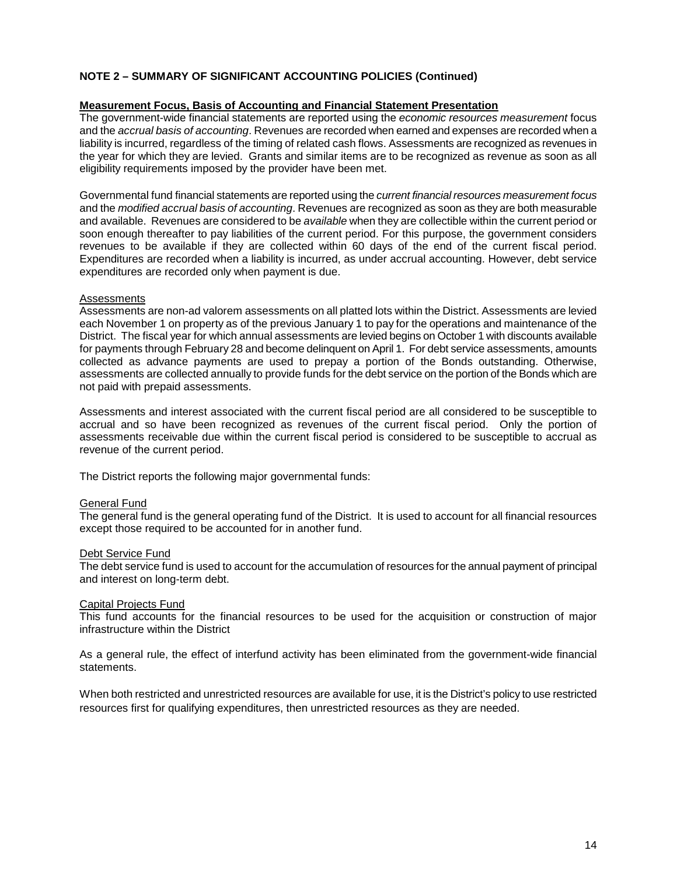# **Measurement Focus, Basis of Accounting and Financial Statement Presentation**

The government-wide financial statements are reported using the *economic resources measurement* focus and the *accrual basis of accounting*. Revenues are recorded when earned and expenses are recorded when a liability is incurred, regardless of the timing of related cash flows. Assessments are recognized as revenues in the year for which they are levied. Grants and similar items are to be recognized as revenue as soon as all eligibility requirements imposed by the provider have been met.

Governmental fund financial statements are reported using the *current financial resources measurement focus* and the *modified accrual basis of accounting*. Revenues are recognized as soon as they are both measurable and available. Revenues are considered to be *available* when they are collectible within the current period or soon enough thereafter to pay liabilities of the current period. For this purpose, the government considers revenues to be available if they are collected within 60 days of the end of the current fiscal period. Expenditures are recorded when a liability is incurred, as under accrual accounting. However, debt service expenditures are recorded only when payment is due.

#### Assessments

Assessments are non-ad valorem assessments on all platted lots within the District. Assessments are levied each November 1 on property as of the previous January 1 to pay for the operations and maintenance of the District. The fiscal year for which annual assessments are levied begins on October 1 with discounts available for payments through February 28 and become delinquent on April 1. For debt service assessments, amounts collected as advance payments are used to prepay a portion of the Bonds outstanding. Otherwise, assessments are collected annually to provide funds for the debt service on the portion of the Bonds which are not paid with prepaid assessments.

Assessments and interest associated with the current fiscal period are all considered to be susceptible to accrual and so have been recognized as revenues of the current fiscal period. Only the portion of assessments receivable due within the current fiscal period is considered to be susceptible to accrual as revenue of the current period.

The District reports the following major governmental funds:

#### General Fund

The general fund is the general operating fund of the District. It is used to account for all financial resources except those required to be accounted for in another fund.

#### Debt Service Fund

The debt service fund is used to account for the accumulation of resources for the annual payment of principal and interest on long-term debt.

### Capital Projects Fund

This fund accounts for the financial resources to be used for the acquisition or construction of major infrastructure within the District

As a general rule, the effect of interfund activity has been eliminated from the government-wide financial statements.

When both restricted and unrestricted resources are available for use, it is the District's policy to use restricted resources first for qualifying expenditures, then unrestricted resources as they are needed.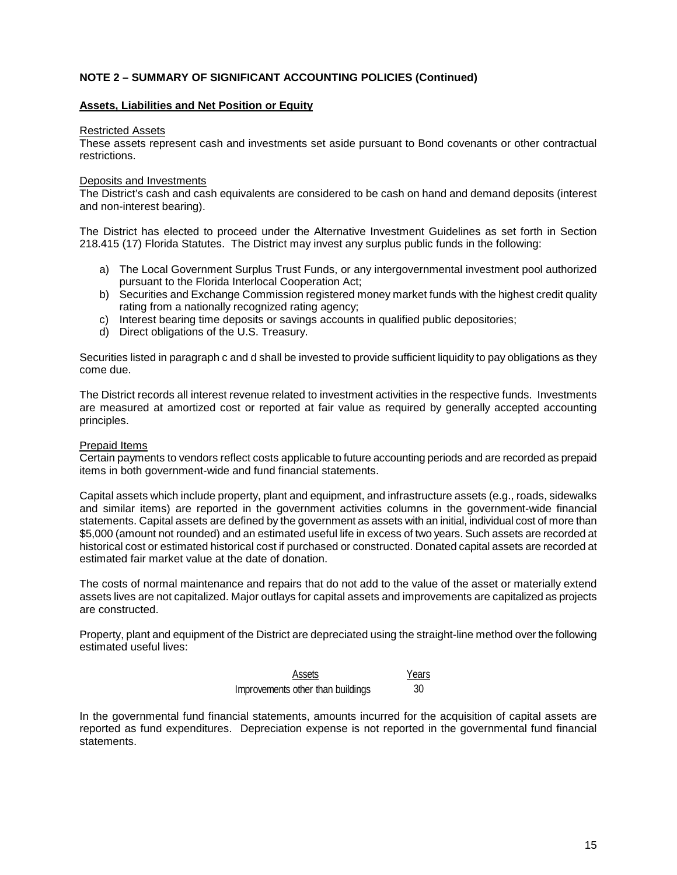### **Assets, Liabilities and Net Position or Equity**

### Restricted Assets

These assets represent cash and investments set aside pursuant to Bond covenants or other contractual restrictions.

### Deposits and Investments

The District's cash and cash equivalents are considered to be cash on hand and demand deposits (interest and non-interest bearing).

The District has elected to proceed under the Alternative Investment Guidelines as set forth in Section 218.415 (17) Florida Statutes. The District may invest any surplus public funds in the following:

- a) The Local Government Surplus Trust Funds, or any intergovernmental investment pool authorized pursuant to the Florida Interlocal Cooperation Act;
- b) Securities and Exchange Commission registered money market funds with the highest credit quality rating from a nationally recognized rating agency;
- c) Interest bearing time deposits or savings accounts in qualified public depositories;
- d) Direct obligations of the U.S. Treasury.

Securities listed in paragraph c and d shall be invested to provide sufficient liquidity to pay obligations as they come due.

The District records all interest revenue related to investment activities in the respective funds. Investments are measured at amortized cost or reported at fair value as required by generally accepted accounting principles.

### Prepaid Items

Certain payments to vendors reflect costs applicable to future accounting periods and are recorded as prepaid items in both government-wide and fund financial statements.

Capital assets which include property, plant and equipment, and infrastructure assets (e.g., roads, sidewalks and similar items) are reported in the government activities columns in the government-wide financial statements. Capital assets are defined by the government as assets with an initial, individual cost of more than \$5,000 (amount not rounded) and an estimated useful life in excess of two years. Such assets are recorded at historical cost or estimated historical cost if purchased or constructed. Donated capital assets are recorded at estimated fair market value at the date of donation.

The costs of normal maintenance and repairs that do not add to the value of the asset or materially extend assets lives are not capitalized. Major outlays for capital assets and improvements are capitalized as projects are constructed.

Property, plant and equipment of the District are depreciated using the straight-line method over the following estimated useful lives:

Assets Years Improvements other than buildings 30

In the governmental fund financial statements, amounts incurred for the acquisition of capital assets are reported as fund expenditures. Depreciation expense is not reported in the governmental fund financial statements.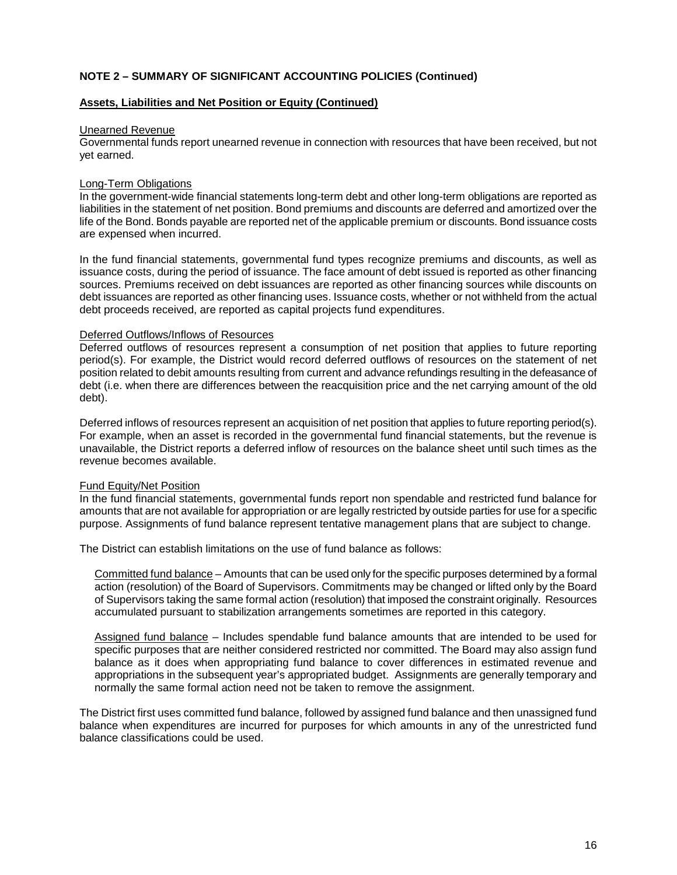# **Assets, Liabilities and Net Position or Equity (Continued)**

#### Unearned Revenue

Governmental funds report unearned revenue in connection with resources that have been received, but not yet earned.

#### Long-Term Obligations

In the government-wide financial statements long-term debt and other long-term obligations are reported as liabilities in the statement of net position. Bond premiums and discounts are deferred and amortized over the life of the Bond. Bonds payable are reported net of the applicable premium or discounts. Bond issuance costs are expensed when incurred.

In the fund financial statements, governmental fund types recognize premiums and discounts, as well as issuance costs, during the period of issuance. The face amount of debt issued is reported as other financing sources. Premiums received on debt issuances are reported as other financing sources while discounts on debt issuances are reported as other financing uses. Issuance costs, whether or not withheld from the actual debt proceeds received, are reported as capital projects fund expenditures.

#### Deferred Outflows/Inflows of Resources

Deferred outflows of resources represent a consumption of net position that applies to future reporting period(s). For example, the District would record deferred outflows of resources on the statement of net position related to debit amounts resulting from current and advance refundings resulting in the defeasance of debt (i.e. when there are differences between the reacquisition price and the net carrying amount of the old debt).

Deferred inflows of resources represent an acquisition of net position that applies to future reporting period(s). For example, when an asset is recorded in the governmental fund financial statements, but the revenue is unavailable, the District reports a deferred inflow of resources on the balance sheet until such times as the revenue becomes available.

### Fund Equity/Net Position

In the fund financial statements, governmental funds report non spendable and restricted fund balance for amounts that are not available for appropriation or are legally restricted by outside parties for use for a specific purpose. Assignments of fund balance represent tentative management plans that are subject to change.

The District can establish limitations on the use of fund balance as follows:

Committed fund balance – Amounts that can be used only for the specific purposes determined by a formal action (resolution) of the Board of Supervisors. Commitments may be changed or lifted only by the Board of Supervisors taking the same formal action (resolution) that imposed the constraint originally. Resources accumulated pursuant to stabilization arrangements sometimes are reported in this category.

Assigned fund balance – Includes spendable fund balance amounts that are intended to be used for specific purposes that are neither considered restricted nor committed. The Board may also assign fund balance as it does when appropriating fund balance to cover differences in estimated revenue and appropriations in the subsequent year's appropriated budget. Assignments are generally temporary and normally the same formal action need not be taken to remove the assignment.

The District first uses committed fund balance, followed by assigned fund balance and then unassigned fund balance when expenditures are incurred for purposes for which amounts in any of the unrestricted fund balance classifications could be used.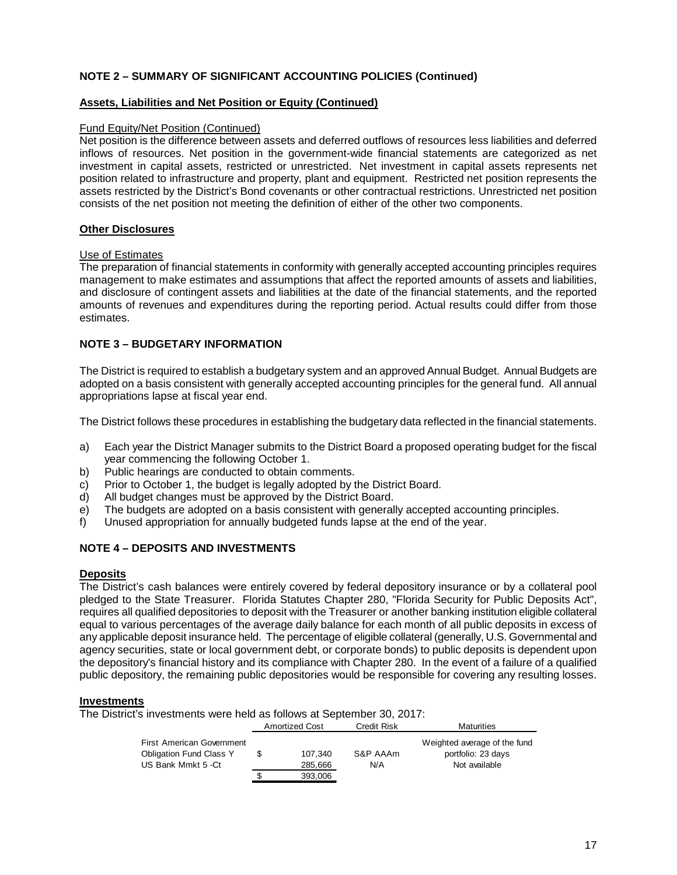# **Assets, Liabilities and Net Position or Equity (Continued)**

### Fund Equity/Net Position (Continued)

Net position is the difference between assets and deferred outflows of resources less liabilities and deferred inflows of resources. Net position in the government-wide financial statements are categorized as net investment in capital assets, restricted or unrestricted. Net investment in capital assets represents net position related to infrastructure and property, plant and equipment. Restricted net position represents the assets restricted by the District's Bond covenants or other contractual restrictions. Unrestricted net position consists of the net position not meeting the definition of either of the other two components.

### **Other Disclosures**

### Use of Estimates

The preparation of financial statements in conformity with generally accepted accounting principles requires management to make estimates and assumptions that affect the reported amounts of assets and liabilities, and disclosure of contingent assets and liabilities at the date of the financial statements, and the reported amounts of revenues and expenditures during the reporting period. Actual results could differ from those estimates.

# **NOTE 3 – BUDGETARY INFORMATION**

The District is required to establish a budgetary system and an approved Annual Budget. Annual Budgets are adopted on a basis consistent with generally accepted accounting principles for the general fund. All annual appropriations lapse at fiscal year end.

The District follows these procedures in establishing the budgetary data reflected in the financial statements.

- a) Each year the District Manager submits to the District Board a proposed operating budget for the fiscal year commencing the following October 1.
- b) Public hearings are conducted to obtain comments.
- c) Prior to October 1, the budget is legally adopted by the District Board.
- d) All budget changes must be approved by the District Board.
- e) The budgets are adopted on a basis consistent with generally accepted accounting principles.
- f) Unused appropriation for annually budgeted funds lapse at the end of the year.

### **NOTE 4 – DEPOSITS AND INVESTMENTS**

### **Deposits**

The District's cash balances were entirely covered by federal depository insurance or by a collateral pool pledged to the State Treasurer. Florida Statutes Chapter 280, "Florida Security for Public Deposits Act", requires all qualified depositories to deposit with the Treasurer or another banking institution eligible collateral equal to various percentages of the average daily balance for each month of all public deposits in excess of any applicable deposit insurance held. The percentage of eligible collateral (generally, U.S. Governmental and agency securities, state or local government debt, or corporate bonds) to public deposits is dependent upon the depository's financial history and its compliance with Chapter 280. In the event of a failure of a qualified public depository, the remaining public depositories would be responsible for covering any resulting losses.

#### **Investments**

The District's investments were held as follows at September 30, 2017:<br>Amortized Cost Credit Bisk

| <b>First American Government</b> |               |          | Weighted average of the fund |
|----------------------------------|---------------|----------|------------------------------|
| <b>Obligation Fund Class Y</b>   | 107.340       | S&P AAAm | portfolio: 23 days           |
| US Bank Mmkt 5 - Ct              | 285,666       | N/A      | Not available                |
|                                  | \$<br>393,006 |          |                              |

Amortized Cost Credit Risk Maturities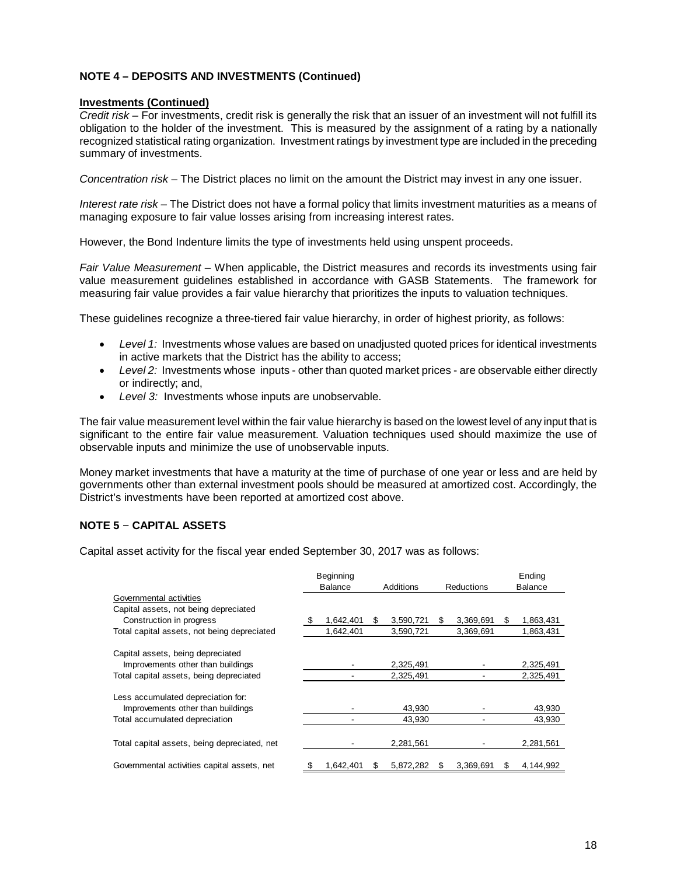# **NOTE 4 – DEPOSITS AND INVESTMENTS (Continued)**

## **Investments (Continued)**

*Credit risk –* For investments, credit risk is generally the risk that an issuer of an investment will not fulfill its obligation to the holder of the investment. This is measured by the assignment of a rating by a nationally recognized statistical rating organization. Investment ratings by investment type are included in the preceding summary of investments.

*Concentration risk –* The District places no limit on the amount the District may invest in any one issuer.

*Interest rate risk –* The District does not have a formal policy that limits investment maturities as a means of managing exposure to fair value losses arising from increasing interest rates.

However, the Bond Indenture limits the type of investments held using unspent proceeds.

*Fair Value Measurement –* When applicable, the District measures and records its investments using fair value measurement guidelines established in accordance with GASB Statements. The framework for measuring fair value provides a fair value hierarchy that prioritizes the inputs to valuation techniques.

These guidelines recognize a three-tiered fair value hierarchy, in order of highest priority, as follows:

- *Level 1:* Investments whose values are based on unadjusted quoted prices for identical investments in active markets that the District has the ability to access;
- *Level 2:* Investments whose inputs other than quoted market prices are observable either directly or indirectly; and,
- *Level 3:* Investments whose inputs are unobservable.

The fair value measurement level within the fair value hierarchy is based on the lowest level of any input that is significant to the entire fair value measurement. Valuation techniques used should maximize the use of observable inputs and minimize the use of unobservable inputs.

Money market investments that have a maturity at the time of purchase of one year or less and are held by governments other than external investment pools should be measured at amortized cost. Accordingly, the District's investments have been reported at amortized cost above.

# **NOTE 5** – **CAPITAL ASSETS**

Capital asset activity for the fiscal year ended September 30, 2017 was as follows:

|                                              |      | Beginning<br><b>Balance</b> | Additions |     | <b>Reductions</b> | Ending<br><b>Balance</b> |
|----------------------------------------------|------|-----------------------------|-----------|-----|-------------------|--------------------------|
| Governmental activities                      |      |                             |           |     |                   |                          |
| Capital assets, not being depreciated        |      |                             |           |     |                   |                          |
| Construction in progress                     | - SS | 1,642,401                   | 3,590,721 | \$. | 3,369,691         | 1,863,431                |
| Total capital assets, not being depreciated  |      | 1,642,401                   | 3,590,721 |     | 3,369,691         | 1,863,431                |
| Capital assets, being depreciated            |      |                             |           |     |                   |                          |
| Improvements other than buildings            |      |                             | 2,325,491 |     |                   | 2,325,491                |
| Total capital assets, being depreciated      |      |                             | 2,325,491 |     |                   | 2,325,491                |
| Less accumulated depreciation for:           |      |                             |           |     |                   |                          |
| Improvements other than buildings            |      |                             | 43,930    |     |                   | 43,930                   |
| Total accumulated depreciation               |      |                             | 43,930    |     |                   | 43,930                   |
|                                              |      |                             |           |     |                   |                          |
| Total capital assets, being depreciated, net |      |                             | 2,281,561 |     |                   | 2,281,561                |
| Governmental activities capital assets, net  |      | 1,642,401                   | 5,872,282 | S   | 3,369,691         | 4,144,992                |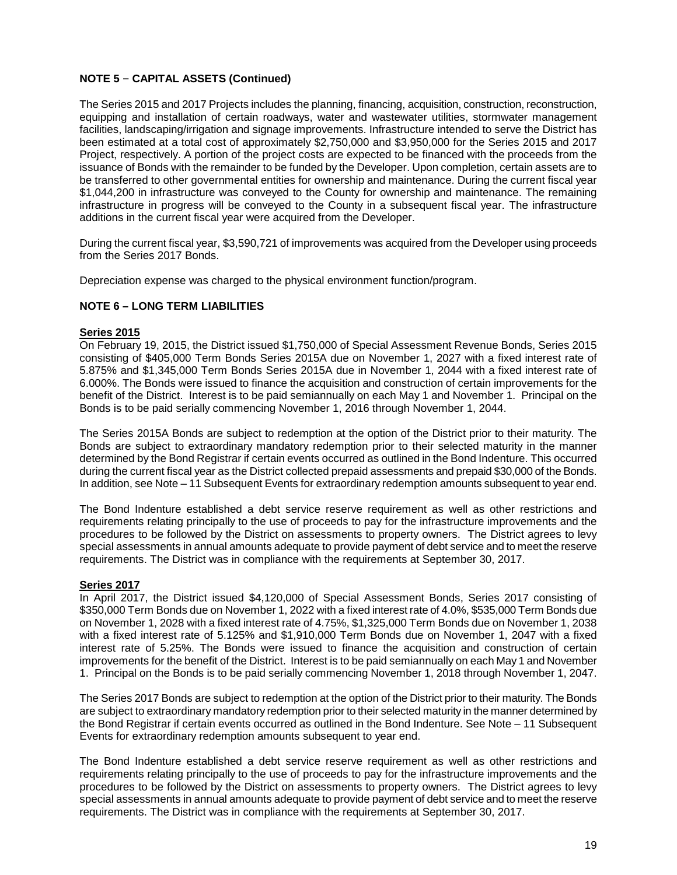# **NOTE 5** – **CAPITAL ASSETS (Continued)**

The Series 2015 and 2017 Projects includes the planning, financing, acquisition, construction, reconstruction, equipping and installation of certain roadways, water and wastewater utilities, stormwater management facilities, landscaping/irrigation and signage improvements. Infrastructure intended to serve the District has been estimated at a total cost of approximately \$2,750,000 and \$3,950,000 for the Series 2015 and 2017 Project, respectively. A portion of the project costs are expected to be financed with the proceeds from the issuance of Bonds with the remainder to be funded by the Developer. Upon completion, certain assets are to be transferred to other governmental entities for ownership and maintenance. During the current fiscal year \$1,044,200 in infrastructure was conveyed to the County for ownership and maintenance. The remaining infrastructure in progress will be conveyed to the County in a subsequent fiscal year. The infrastructure additions in the current fiscal year were acquired from the Developer.

During the current fiscal year, \$3,590,721 of improvements was acquired from the Developer using proceeds from the Series 2017 Bonds.

Depreciation expense was charged to the physical environment function/program.

### **NOTE 6 – LONG TERM LIABILITIES**

### **Series 2015**

On February 19, 2015, the District issued \$1,750,000 of Special Assessment Revenue Bonds, Series 2015 consisting of \$405,000 Term Bonds Series 2015A due on November 1, 2027 with a fixed interest rate of 5.875% and \$1,345,000 Term Bonds Series 2015A due in November 1, 2044 with a fixed interest rate of 6.000%. The Bonds were issued to finance the acquisition and construction of certain improvements for the benefit of the District. Interest is to be paid semiannually on each May 1 and November 1. Principal on the Bonds is to be paid serially commencing November 1, 2016 through November 1, 2044.

The Series 2015A Bonds are subject to redemption at the option of the District prior to their maturity. The Bonds are subject to extraordinary mandatory redemption prior to their selected maturity in the manner determined by the Bond Registrar if certain events occurred as outlined in the Bond Indenture. This occurred during the current fiscal year as the District collected prepaid assessments and prepaid \$30,000 of the Bonds. In addition, see Note – 11 Subsequent Events for extraordinary redemption amounts subsequent to year end.

The Bond Indenture established a debt service reserve requirement as well as other restrictions and requirements relating principally to the use of proceeds to pay for the infrastructure improvements and the procedures to be followed by the District on assessments to property owners. The District agrees to levy special assessments in annual amounts adequate to provide payment of debt service and to meet the reserve requirements. The District was in compliance with the requirements at September 30, 2017.

### **Series 2017**

In April 2017, the District issued \$4,120,000 of Special Assessment Bonds, Series 2017 consisting of \$350,000 Term Bonds due on November 1, 2022 with a fixed interest rate of 4.0%, \$535,000 Term Bonds due on November 1, 2028 with a fixed interest rate of 4.75%, \$1,325,000 Term Bonds due on November 1, 2038 with a fixed interest rate of 5.125% and \$1,910,000 Term Bonds due on November 1, 2047 with a fixed interest rate of 5.25%. The Bonds were issued to finance the acquisition and construction of certain improvements for the benefit of the District. Interest is to be paid semiannually on each May 1 and November 1. Principal on the Bonds is to be paid serially commencing November 1, 2018 through November 1, 2047.

The Series 2017 Bonds are subject to redemption at the option of the District prior to their maturity. The Bonds are subject to extraordinary mandatory redemption prior to their selected maturity in the manner determined by the Bond Registrar if certain events occurred as outlined in the Bond Indenture. See Note – 11 Subsequent Events for extraordinary redemption amounts subsequent to year end.

The Bond Indenture established a debt service reserve requirement as well as other restrictions and requirements relating principally to the use of proceeds to pay for the infrastructure improvements and the procedures to be followed by the District on assessments to property owners. The District agrees to levy special assessments in annual amounts adequate to provide payment of debt service and to meet the reserve requirements. The District was in compliance with the requirements at September 30, 2017.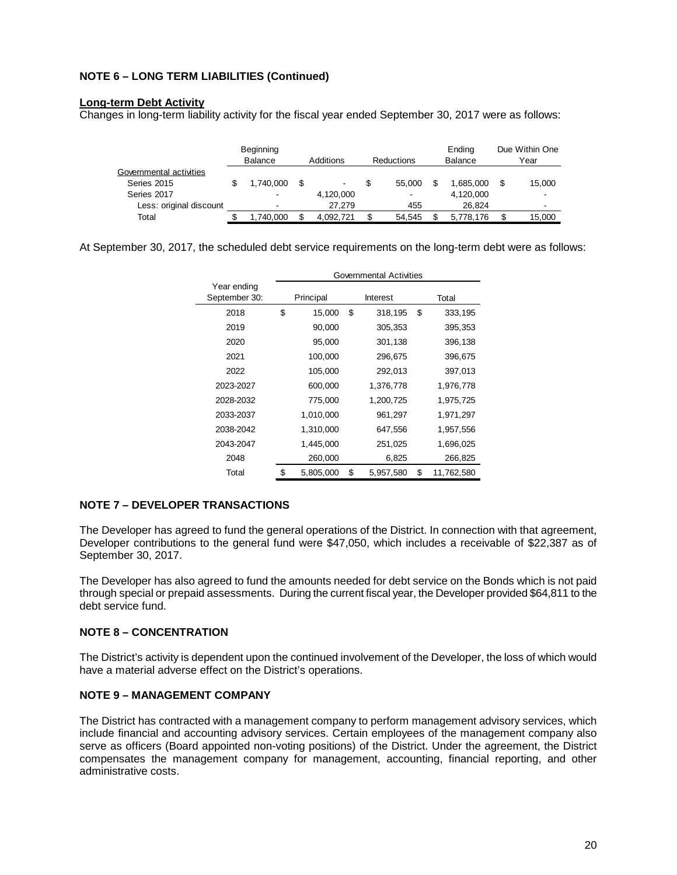# **NOTE 6 – LONG TERM LIABILITIES (Continued)**

## **Long-term Debt Activity**

Changes in long-term liability activity for the fiscal year ended September 30, 2017 were as follows:

|                         | Beginning<br><b>Balance</b> |   | Additions                | <b>Reductions</b> |     | Ending<br>Balance | Due Within One<br>Year |
|-------------------------|-----------------------------|---|--------------------------|-------------------|-----|-------------------|------------------------|
| Governmental activities |                             |   |                          |                   |     |                   |                        |
| Series 2015             | 1.740.000                   | S | $\overline{\phantom{a}}$ | 55,000            | \$. | 1.685.000         | 15,000                 |
| Series 2017             | -                           |   | 4,120,000                | -                 |     | 4,120,000         |                        |
| Less: original discount |                             |   | 27.279                   | 455               |     | 26.824            |                        |
| Total                   | 1,740,000                   |   | 4,092,721                | 54.545            |     | 5.778.176         | 15.000                 |

At September 30, 2017, the scheduled debt service requirements on the long-term debt were as follows:

|                              | Governmental Activities |           |    |           |       |            |  |  |  |  |
|------------------------------|-------------------------|-----------|----|-----------|-------|------------|--|--|--|--|
| Year ending<br>September 30: | Principal               |           |    | Interest  | Total |            |  |  |  |  |
| 2018                         | \$                      | 15,000    | \$ | 318,195   | \$    | 333,195    |  |  |  |  |
| 2019                         |                         | 90,000    |    | 305,353   |       | 395,353    |  |  |  |  |
| 2020                         |                         | 95,000    |    | 301,138   |       | 396,138    |  |  |  |  |
| 2021                         |                         | 100,000   |    | 296,675   |       | 396,675    |  |  |  |  |
| 2022                         |                         | 105,000   |    | 292,013   |       | 397,013    |  |  |  |  |
| 2023-2027                    |                         | 600,000   |    | 1,376,778 |       | 1,976,778  |  |  |  |  |
| 2028-2032                    |                         | 775,000   |    | 1,200,725 |       | 1,975,725  |  |  |  |  |
| 2033-2037                    |                         | 1,010,000 |    | 961,297   |       | 1,971,297  |  |  |  |  |
| 2038-2042                    |                         | 1,310,000 |    | 647,556   |       | 1,957,556  |  |  |  |  |
| 2043-2047                    |                         | 1,445,000 |    | 251,025   |       | 1,696,025  |  |  |  |  |
| 2048                         |                         | 260,000   |    | 6,825     |       | 266,825    |  |  |  |  |
| Total                        |                         | 5,805,000 | \$ | 5,957,580 | \$    | 11,762,580 |  |  |  |  |

### **NOTE 7 – DEVELOPER TRANSACTIONS**

The Developer has agreed to fund the general operations of the District. In connection with that agreement, Developer contributions to the general fund were \$47,050, which includes a receivable of \$22,387 as of September 30, 2017.

The Developer has also agreed to fund the amounts needed for debt service on the Bonds which is not paid through special or prepaid assessments. During the current fiscal year, the Developer provided \$64,811 to the debt service fund.

# **NOTE 8 – CONCENTRATION**

The District's activity is dependent upon the continued involvement of the Developer, the loss of which would have a material adverse effect on the District's operations.

### **NOTE 9 – MANAGEMENT COMPANY**

The District has contracted with a management company to perform management advisory services, which include financial and accounting advisory services. Certain employees of the management company also serve as officers (Board appointed non-voting positions) of the District. Under the agreement, the District compensates the management company for management, accounting, financial reporting, and other administrative costs.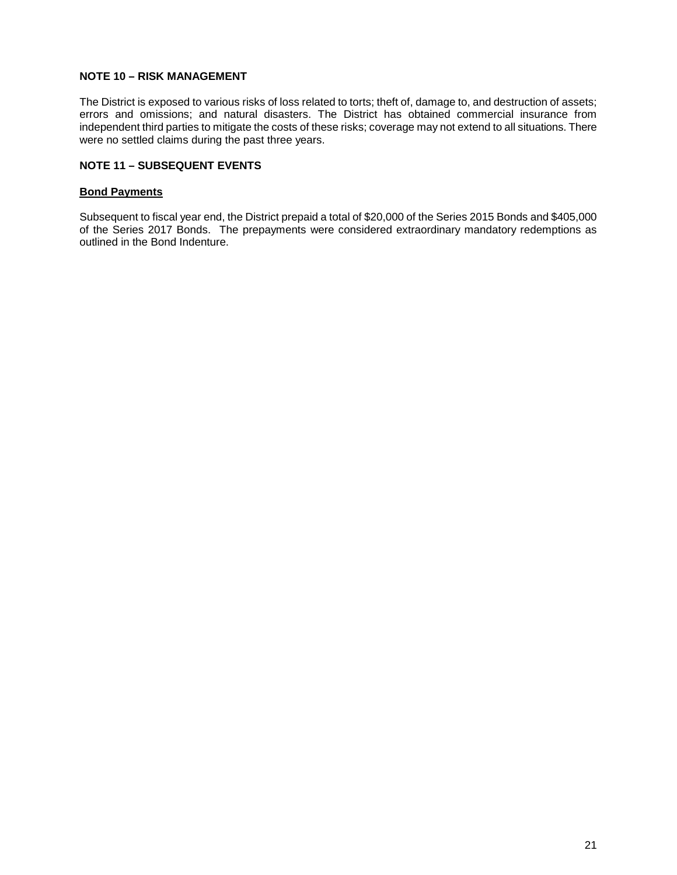# **NOTE 10 – RISK MANAGEMENT**

The District is exposed to various risks of loss related to torts; theft of, damage to, and destruction of assets; errors and omissions; and natural disasters. The District has obtained commercial insurance from independent third parties to mitigate the costs of these risks; coverage may not extend to all situations. There were no settled claims during the past three years.

# **NOTE 11 – SUBSEQUENT EVENTS**

# **Bond Payments**

Subsequent to fiscal year end, the District prepaid a total of \$20,000 of the Series 2015 Bonds and \$405,000 of the Series 2017 Bonds. The prepayments were considered extraordinary mandatory redemptions as outlined in the Bond Indenture.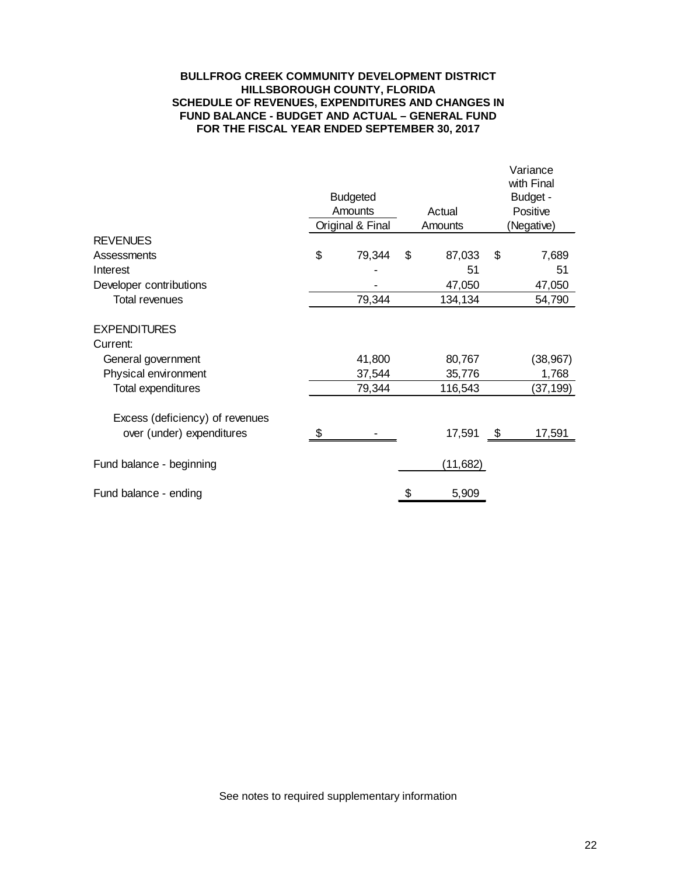# **BULLFROG CREEK COMMUNITY DEVELOPMENT DISTRICT HILLSBOROUGH COUNTY, FLORIDA SCHEDULE OF REVENUES, EXPENDITURES AND CHANGES IN FUND BALANCE - BUDGET AND ACTUAL – GENERAL FUND FOR THE FISCAL YEAR ENDED SEPTEMBER 30, 2017**

|                                 |                 |                  |         |          |            | Variance<br>with Final |  |
|---------------------------------|-----------------|------------------|---------|----------|------------|------------------------|--|
|                                 | <b>Budgeted</b> |                  |         |          | Budget -   |                        |  |
|                                 |                 | Amounts          | Actual  |          | Positive   |                        |  |
|                                 |                 | Original & Final | Amounts |          | (Negative) |                        |  |
| <b>REVENUES</b>                 |                 |                  |         |          |            |                        |  |
| Assessments                     | \$              | 79,344           | \$      | 87,033   | \$         | 7,689                  |  |
| Interest                        |                 |                  |         | 51       |            | 51                     |  |
| Developer contributions         |                 |                  |         | 47,050   |            | 47,050                 |  |
| Total revenues                  |                 | 79,344           |         | 134,134  |            | 54,790                 |  |
| <b>EXPENDITURES</b>             |                 |                  |         |          |            |                        |  |
| Current:                        |                 |                  |         |          |            |                        |  |
| General government              |                 | 41,800           |         | 80,767   |            | (38, 967)              |  |
| Physical environment            |                 | 37,544           |         | 35,776   |            | 1,768                  |  |
| Total expenditures              |                 | 79,344           |         | 116,543  |            | (37, 199)              |  |
| Excess (deficiency) of revenues |                 |                  |         |          |            |                        |  |
| over (under) expenditures       | \$              |                  |         | 17,591   | - \$       | 17,591                 |  |
| Fund balance - beginning        |                 |                  |         | (11,682) |            |                        |  |
| Fund balance - ending           |                 |                  | \$      | 5,909    |            |                        |  |

See notes to required supplementary information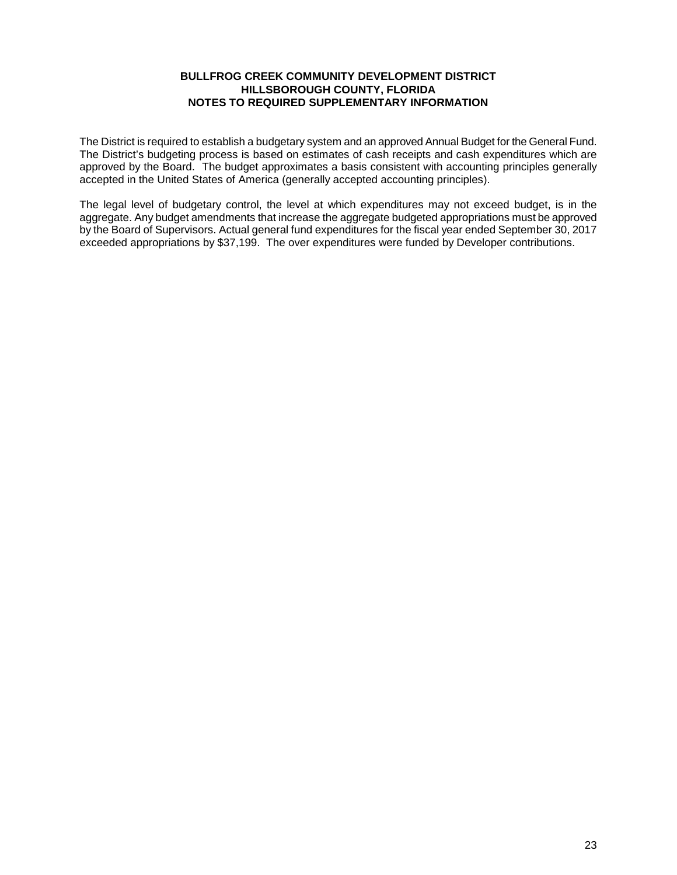# **BULLFROG CREEK COMMUNITY DEVELOPMENT DISTRICT HILLSBOROUGH COUNTY, FLORIDA NOTES TO REQUIRED SUPPLEMENTARY INFORMATION**

The District is required to establish a budgetary system and an approved Annual Budget for the General Fund. The District's budgeting process is based on estimates of cash receipts and cash expenditures which are approved by the Board. The budget approximates a basis consistent with accounting principles generally accepted in the United States of America (generally accepted accounting principles).

The legal level of budgetary control, the level at which expenditures may not exceed budget, is in the aggregate. Any budget amendments that increase the aggregate budgeted appropriations must be approved by the Board of Supervisors. Actual general fund expenditures for the fiscal year ended September 30, 2017 exceeded appropriations by \$37,199. The over expenditures were funded by Developer contributions.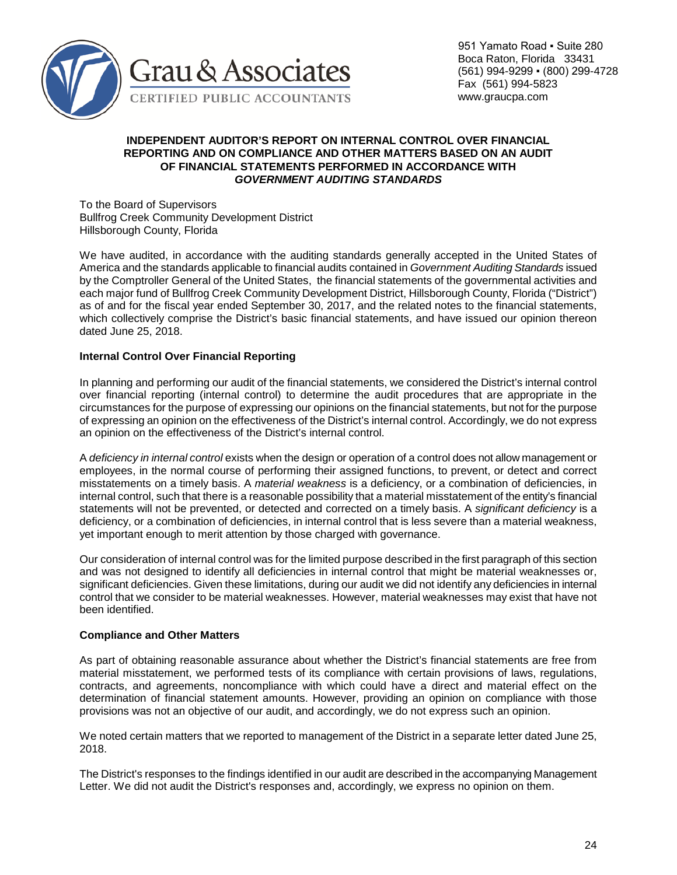

 951 Yamato Road ▪ Suite 280 Boca Raton, Florida 33431 (561) 994-9299 ▪ (800) 299-4728 Fax (561) 994-5823 www.graucpa.com

# **INDEPENDENT AUDITOR'S REPORT ON INTERNAL CONTROL OVER FINANCIAL REPORTING AND ON COMPLIANCE AND OTHER MATTERS BASED ON AN AUDIT OF FINANCIAL STATEMENTS PERFORMED IN ACCORDANCE WITH**  *GOVERNMENT AUDITING STANDARDS*

To the Board of Supervisors Bullfrog Creek Community Development District Hillsborough County, Florida

We have audited, in accordance with the auditing standards generally accepted in the United States of America and the standards applicable to financial audits contained in *Government Auditing Standards* issued by the Comptroller General of the United States, the financial statements of the governmental activities and each major fund of Bullfrog Creek Community Development District, Hillsborough County, Florida ("District") as of and for the fiscal year ended September 30, 2017, and the related notes to the financial statements, which collectively comprise the District's basic financial statements, and have issued our opinion thereon dated June 25, 2018.

# **Internal Control Over Financial Reporting**

In planning and performing our audit of the financial statements, we considered the District's internal control over financial reporting (internal control) to determine the audit procedures that are appropriate in the circumstances for the purpose of expressing our opinions on the financial statements, but not for the purpose of expressing an opinion on the effectiveness of the District's internal control. Accordingly, we do not express an opinion on the effectiveness of the District's internal control.

A *deficiency in internal control* exists when the design or operation of a control does not allow management or employees, in the normal course of performing their assigned functions, to prevent, or detect and correct misstatements on a timely basis. A *material weakness* is a deficiency, or a combination of deficiencies, in internal control, such that there is a reasonable possibility that a material misstatement of the entity's financial statements will not be prevented, or detected and corrected on a timely basis. A *significant deficiency* is a deficiency, or a combination of deficiencies, in internal control that is less severe than a material weakness, yet important enough to merit attention by those charged with governance.

Our consideration of internal control was for the limited purpose described in the first paragraph of this section and was not designed to identify all deficiencies in internal control that might be material weaknesses or, significant deficiencies. Given these limitations, during our audit we did not identify any deficiencies in internal control that we consider to be material weaknesses. However, material weaknesses may exist that have not been identified.

# **Compliance and Other Matters**

As part of obtaining reasonable assurance about whether the District's financial statements are free from material misstatement, we performed tests of its compliance with certain provisions of laws, regulations, contracts, and agreements, noncompliance with which could have a direct and material effect on the determination of financial statement amounts. However, providing an opinion on compliance with those provisions was not an objective of our audit, and accordingly, we do not express such an opinion.

We noted certain matters that we reported to management of the District in a separate letter dated June 25, 2018.

The District's responses to the findings identified in our audit are described in the accompanying Management Letter. We did not audit the District's responses and, accordingly, we express no opinion on them.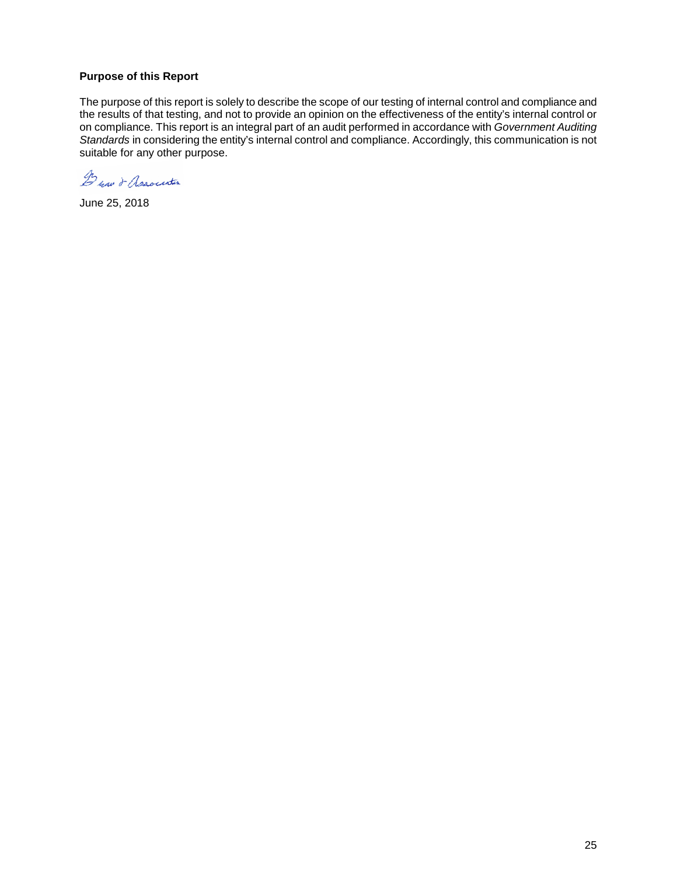# **Purpose of this Report**

The purpose of this report is solely to describe the scope of our testing of internal control and compliance and the results of that testing, and not to provide an opinion on the effectiveness of the entity's internal control or on compliance. This report is an integral part of an audit performed in accordance with *Government Auditing Standards* in considering the entity's internal control and compliance. Accordingly, this communication is not suitable for any other purpose.

Dear & Association

June 25, 2018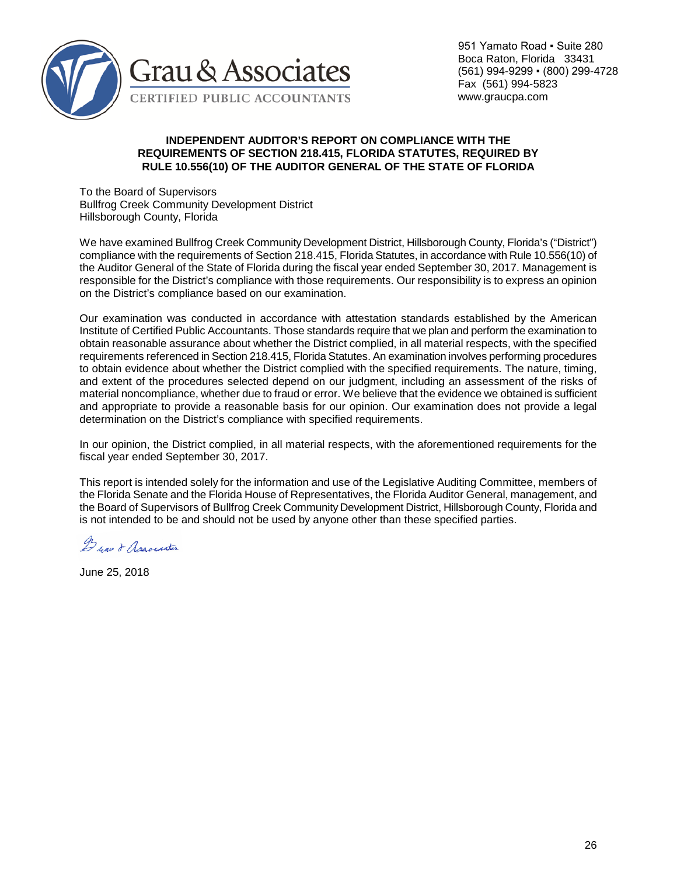

 951 Yamato Road ▪ Suite 280 Boca Raton, Florida 33431 (561) 994-9299 ▪ (800) 299-4728 Fax (561) 994-5823 www.graucpa.com

# **INDEPENDENT AUDITOR'S REPORT ON COMPLIANCE WITH THE REQUIREMENTS OF SECTION 218.415, FLORIDA STATUTES, REQUIRED BY RULE 10.556(10) OF THE AUDITOR GENERAL OF THE STATE OF FLORIDA**

To the Board of Supervisors Bullfrog Creek Community Development District Hillsborough County, Florida

We have examined Bullfrog Creek Community Development District, Hillsborough County, Florida's ("District") compliance with the requirements of Section 218.415, Florida Statutes, in accordance with Rule 10.556(10) of the Auditor General of the State of Florida during the fiscal year ended September 30, 2017. Management is responsible for the District's compliance with those requirements. Our responsibility is to express an opinion on the District's compliance based on our examination.

Our examination was conducted in accordance with attestation standards established by the American Institute of Certified Public Accountants. Those standards require that we plan and perform the examination to obtain reasonable assurance about whether the District complied, in all material respects, with the specified requirements referenced in Section 218.415, Florida Statutes. An examination involves performing procedures to obtain evidence about whether the District complied with the specified requirements. The nature, timing, and extent of the procedures selected depend on our judgment, including an assessment of the risks of material noncompliance, whether due to fraud or error. We believe that the evidence we obtained is sufficient and appropriate to provide a reasonable basis for our opinion. Our examination does not provide a legal determination on the District's compliance with specified requirements.

In our opinion, the District complied, in all material respects, with the aforementioned requirements for the fiscal year ended September 30, 2017.

This report is intended solely for the information and use of the Legislative Auditing Committee, members of the Florida Senate and the Florida House of Representatives, the Florida Auditor General, management, and the Board of Supervisors of Bullfrog Creek Community Development District, Hillsborough County, Florida and is not intended to be and should not be used by anyone other than these specified parties.

Dear & Association

June 25, 2018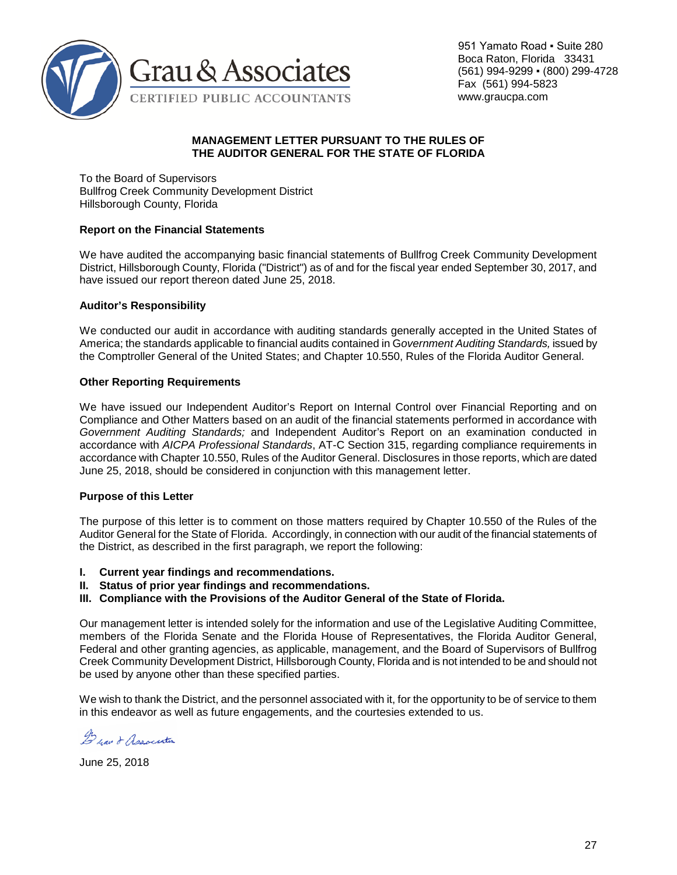

 951 Yamato Road ▪ Suite 280 Boca Raton, Florida 33431 (561) 994-9299 ▪ (800) 299-4728 Fax (561) 994-5823 www.graucpa.com

# **MANAGEMENT LETTER PURSUANT TO THE RULES OF THE AUDITOR GENERAL FOR THE STATE OF FLORIDA**

To the Board of Supervisors Bullfrog Creek Community Development District Hillsborough County, Florida

### **Report on the Financial Statements**

We have audited the accompanying basic financial statements of Bullfrog Creek Community Development District, Hillsborough County, Florida ("District") as of and for the fiscal year ended September 30, 2017, and have issued our report thereon dated June 25, 2018.

# **Auditor's Responsibility**

We conducted our audit in accordance with auditing standards generally accepted in the United States of America; the standards applicable to financial audits contained in G*overnment Auditing Standards,* issued by the Comptroller General of the United States; and Chapter 10.550, Rules of the Florida Auditor General.

# **Other Reporting Requirements**

We have issued our Independent Auditor's Report on Internal Control over Financial Reporting and on Compliance and Other Matters based on an audit of the financial statements performed in accordance with *Government Auditing Standards;* and Independent Auditor's Report on an examination conducted in accordance with *AICPA Professional Standards*, AT-C Section 315, regarding compliance requirements in accordance with Chapter 10.550, Rules of the Auditor General. Disclosures in those reports, which are dated June 25, 2018, should be considered in conjunction with this management letter.

### **Purpose of this Letter**

The purpose of this letter is to comment on those matters required by Chapter 10.550 of the Rules of the Auditor General for the State of Florida. Accordingly, in connection with our audit of the financial statements of the District, as described in the first paragraph, we report the following:

### **I. Current year findings and recommendations.**

- **II. Status of prior year findings and recommendations.**
- **III. Compliance with the Provisions of the Auditor General of the State of Florida.**

Our management letter is intended solely for the information and use of the Legislative Auditing Committee, members of the Florida Senate and the Florida House of Representatives, the Florida Auditor General, Federal and other granting agencies, as applicable, management, and the Board of Supervisors of Bullfrog Creek Community Development District, Hillsborough County, Florida and is not intended to be and should not be used by anyone other than these specified parties.

We wish to thank the District, and the personnel associated with it, for the opportunity to be of service to them in this endeavor as well as future engagements, and the courtesies extended to us.

Dear & Association

June 25, 2018